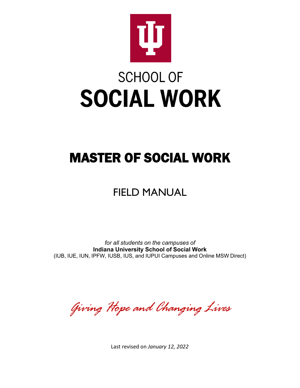

# **SCHOOL OF SOCIAL WORK**

## MASTER OF SOCIAL WORK

## FIELD MANUAL

*for all students on the campuses of* **Indiana University School of Social Work** (IUB, IUE, IUN, IPFW, IUSB, IUS, and IUPUI Campuses and Online MSW Direct)

*Giving Hope and Changing Lives*

Last revised on *January 12, 2022*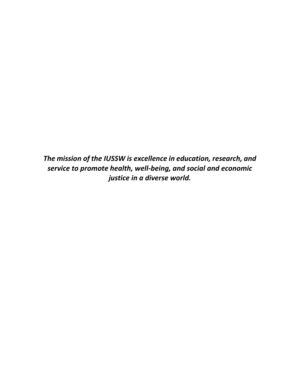*The mission of the IUSSW is excellence in education, research, and service to promote health, well-being, and social and economic justice in a diverse world.*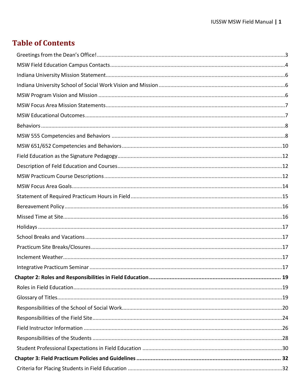## **Table of Contents**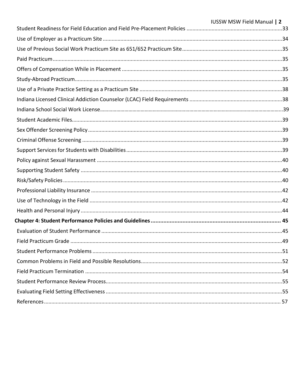| <b>IUSSW MSW Field Manual   2</b> |
|-----------------------------------|
|                                   |
|                                   |
|                                   |
|                                   |
|                                   |
|                                   |
|                                   |
|                                   |
|                                   |
|                                   |
|                                   |
|                                   |
|                                   |
|                                   |
|                                   |
|                                   |
|                                   |
|                                   |
|                                   |
|                                   |
|                                   |
|                                   |
|                                   |
|                                   |
|                                   |
|                                   |
|                                   |
|                                   |
|                                   |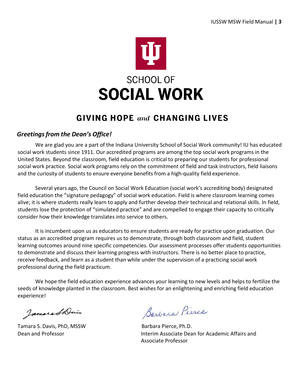

## **GIVING HOPE and CHANGING LIVES**

#### <span id="page-4-0"></span>*Greetingsfrom the Dean's Office!*

We are glad you are a part of the Indiana University School of Social Work community! IU has educated social work students since 1911. Our accredited programs are among the top social work programs in the United States. Beyond the classroom, field education is critical to preparing our students for professional social work practice. Social work programs rely on the commitment of field and task instructors, field liaisons and the curiosity of students to ensure everyone benefits from a high-quality field experience.

Several years ago, the Council on Social Work Education (social work's accrediting body) designated field education the "signature pedagogy" of social work education. Field is where classroom learning comes alive; it is where students really learn to apply and further develop their technical and relational skills. In field, students lose the protection of "simulated practice" and are compelled to engage their capacity to critically consider how their knowledge translates into service to others.

It is incumbent upon us as educators to ensure students are ready for practice upon graduation. Our status as an accredited program requires us to demonstrate, through both classroom and field, student learning outcomes around nine specific competencies. Our assessment processes offer students opportunities to demonstrate and discuss their learning progress with instructors. There is no better place to practice, receive feedback, and learn as a student than while under the supervision of a practicing social work professional during the field practicum.

We hope the field education experience advances your learning to new levels and helps to fertilize the seeds of knowledge planted in the classroom. Best wishes for an enlightening and enriching field education experience!

JamaraShais

Tamara S. Davis, PhD, MSSW Barbara Pierce, Ph.D.

Barbara Pierce

Dean and Professor Interim Associate Dean for Academic Affairs and Associate Professor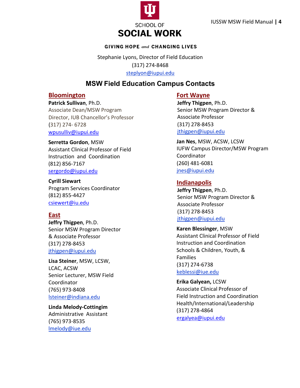

#### **GIVING HOPE and CHANGING LIVES**

Stephanie Lyons, Director of Field Education (317) 274-8468 [steplyon@iupui.edu](mailto:steplyon@iupui.edu)

#### **MSW Field Education Campus Contacts**

#### <span id="page-5-0"></span>**Bloomington**

**Patrick Sullivan**, Ph.D. Associate Dean/MSW Program Director, IUB Chancellor's Professor (317) 274- 6728 [wpusulliv@iupui.edu](mailto:wpusulliv@iupui.edu)

**Serretta Gordon**, MSW Assistant Clinical Professor of Field Instruction and Coordination (812) 856-7167 [sergordo@iupui.edu](mailto:sergordo@iupui.edu)

**Cyrill Siewart** Program Services Coordinator (812) 855-4427 [csiewert@iu.edu](mailto:csiewert@iu.edu)

#### **East**

**Jeffry Thigpen**, Ph.D. Senior MSW Program Director & Associate Professor (317) 278-8453 [jthigpen@iupui.edu](mailto:bwahler@iupui.edu)

**Lisa Steiner**, MSW, LCSW, LCAC, ACSW Senior Lecturer, MSW Field Coordinator (765) 973-8408 [lsteiner@indiana.edu](mailto:lsteiner@indiana.edu)

**Linda Melody-Cottingim** Administrative Assistant (765) 973-8535 [lmelody@iue.edu](mailto:lmelody@iue.edu)

#### **Fort Wayne**

**Jeffry Thigpen**, Ph.D. Senior MSW Program Director & Associate Professor (317) 278-8453 [jthigpen@iupui.edu](mailto:bwahler@iupui.edu)

**Jan Nes**, MSW, ACSW, LCSW IUFW Campus Director/MSW Program Coordinator (260) 481-6081 [jnes@iupui.edu](mailto:jnes@iupui.edu)

#### **Indianapolis**

**Jeffry Thigpen**, Ph.D. Senior MSW Program Director & Associate Professor (317) 278-8453 [jthigpen@iupui.edu](mailto:bwahler@iupui.edu)

**Karen Blessinger**, MSW Assistant Clinical Professor of Field Instruction and Coordination Schools & Children, Youth, & Families (317) 274-6738 [keblessi@iue.edu](mailto:rweiler@iupui.edu)

**Erika Galyean,** LCSW Associate Clinical Professor of Field Instruction and Coordination Health/International/Leadership (317) 278-4864 [ergalyea@iupui.edu](mailto:ergalyea@iupui.edu)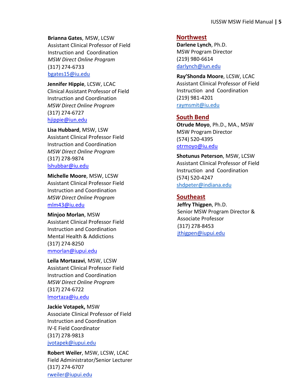**Brianna Gates**, MSW, LCSW Assistant Clinical Professor of Field Instruction and Coordination *MSW Direct Online Program* (317) 274-6733 [bgates15@iu.edu](mailto:mddalei@iupui.edu)

**Jennifer Hippie**, LCSW, LCAC Clinical Assistant Professor of Field Instruction and Coordination *MSW Direct Online Program* (317) 274-6727 [hjippie@iun.edu](mailto:mmorlan@iupui.edu)

**Lisa Hubbard**, MSW, LSW Assistant Clinical Professor Field Instruction and Coordination *MSW Direct Online Program* (317) 278-9874 [lshubbar@iu.edu](mailto:lshubbar@iu.edu)

**Michelle Moore**, MSW, LCSW Assistant Clinical Professor Field Instruction and Coordination *MSW Direct Online Program* mlm43@iu.edu

**Minjoo Morlan**, MSW Assistant Clinical Professor Field Instruction and Coordination Mental Health & Addictions (317) 274-8250 [mmorlan@iupui.edu](mailto:lshubbar@iu.edu)

**Leila Mortazavi**, MSW, LCSW Assistant Clinical Professor Field Instruction and Coordination *MSW Direct Online Program* (317) 274-6722 lmortaza@iu.edu

**Jackie Votapek,** MSW Associate Clinical Professor of Field Instruction and Coordination IV-E Field Coordinator (317) 278-9813 [jvotapek@iupui.edu](mailto:Bell23@iupui.edu)

**Robert Weiler**, MSW, LCSW, LCAC Field Administrator/Senior Lecturer (317) 274-6707 [rweiler@iupui.edu](mailto:rweiler@iupui.edu)

#### **Northwest**

**Darlene Lynch**, Ph.D. MSW Program Director (219) 980-6614 [darlynch@iun.edu](mailto:darlynch@iun.edu)

**Ray'Shonda Moore**, LCSW, LCAC Assistant Clinical Professor of Field Instruction and Coordination (219) 981-4201 [raymsmit@iu.edu](mailto:raymsmit@iu.edu)

#### **South Bend**

**Otrude Moyo**, Ph.D., MA., MSW MSW Program Director (574) 520-4395 [otrmoyo@iu.edu](mailto:otrmoyo@iu.edu)

**Shotunus Peterson**, MSW, LCSW Assistant Clinical Professor of Field Instruction and Coordination (574) 520-4247 [shdpeter@indiana.edu](mailto:shdpeter@indiana.edu)

#### **Southeast**

**Jeffry Thigpen**, Ph.D. Senior MSW Program Director & Associate Professor (317) 278-8453 [jthigpen@iupui.edu](mailto:bwahler@iupui.edu)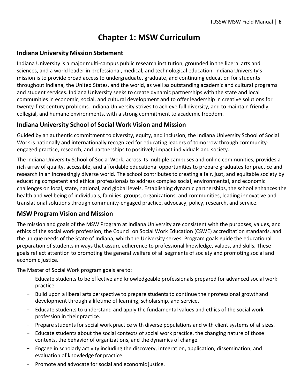## **Chapter 1: MSW Curriculum**

#### <span id="page-7-0"></span>**Indiana University Mission Statement**

Indiana University is a major multi-campus public research institution, grounded in the liberal arts and sciences, and a world leader in professional, medical, and technological education. Indiana University's mission is to provide broad access to undergraduate, graduate, and continuing education for students throughout Indiana, the United States, and the world, as well as outstanding academic and cultural programs and student services. Indiana University seeks to create dynamic partnerships with the state and local communities in economic, social, and cultural development and to offer leadership in creative solutions for twenty-first century problems. Indiana University strives to achieve full diversity, and to maintain friendly, collegial, and humane environments, with a strong commitment to academic freedom.

#### <span id="page-7-1"></span>**Indiana University School of Social Work Vision and Mission**

Guided by an authentic commitment to diversity, equity, and inclusion, the Indiana University School of Social Work is nationally and internationally recognized for educating leaders of tomorrow through communityengaged practice, research, and partnerships to positively impact individuals and society.

The Indiana University School of Social Work, across its multiple campuses and online communities, provides a rich array of quality, accessible, and affordable educational opportunities to prepare graduates for practice and research in an increasingly diverse world. The school contributes to creating a fair, just, and equitable society by educating competent and ethical professionals to address complex social, environmental, and economic challenges on local, state, national, and global levels. Establishing dynamic partnerships, the school enhances the health and wellbeing of individuals, families, groups, organizations, and communities, leading innovative and translational solutions through community-engaged practice, advocacy, policy, research, and service.

#### <span id="page-7-2"></span>**MSW Program Vision and Mission**

The mission and goals of the MSW Program at Indiana University are consistent with the purposes, values, and ethics of the social work profession, the Council on Social Work Education (CSWE) accreditation standards, and the unique needs of the State of Indiana, which the University serves. Program goals guide the educational preparation of students in ways that assure adherence to professional knowledge, values, and skills. These goals reflect attention to promoting the general welfare of all segments of society and promoting social and economic justice.

The Master of Social Work program goals are to:

- Educate students to be effective and knowledgeable professionals prepared for advanced social work practice.
- Build upon a liberal arts perspective to prepare students to continue their professional growthand development through a lifetime of learning, scholarship, and service.
- Educate students to understand and apply the fundamental values and ethics of the social work profession in their practice.
- Prepare students for social work practice with diverse populations and with client systems of all sizes.
- Educate students about the social contexts of social work practice, the changing nature of those contexts, the behavior of organizations, and the dynamics of change.
- Engage in scholarly activity including the discovery, integration, application, dissemination, and evaluation of knowledge for practice.
- Promote and advocate for social and economic justice.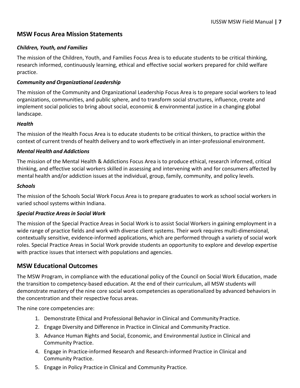#### <span id="page-8-0"></span>**MSW Focus Area Mission Statements**

#### *Children, Youth, and Families*

The mission of the Children, Youth, and Families Focus Area is to educate students to be critical thinking, research informed, continuously learning, ethical and effective social workers prepared for child welfare practice.

#### *Community and Organizational Leadership*

The mission of the Community and Organizational Leadership Focus Area is to prepare social workers to lead organizations, communities, and public sphere, and to transform social structures, influence, create and implement social policies to bring about social, economic & environmental justice in a changing global landscape.

#### *Health*

The mission of the Health Focus Area is to educate students to be critical thinkers, to practice within the context of current trends of health delivery and to work effectively in an inter-professional environment.

#### *Mental Health and Addictions*

The mission of the Mental Health & Addictions Focus Area is to produce ethical, research informed, critical thinking, and effective social workers skilled in assessing and intervening with and for consumers affected by mental health and/or addiction issues at the individual, group, family, community, and policy levels.

#### *Schools*

The mission of the Schools Social Work Focus Area is to prepare graduatesto work as school social workers in varied school systems within Indiana.

#### *Special Practice Areasin Social Work*

The mission of the Special Practice Areas in Social Work isto assist Social Workers in gaining employment in a wide range of practice fields and work with diverse client systems. Their work requires multi-dimensional, contextually sensitive, evidence-informed applications, which are performed through a variety of social work roles. Special Practice Areas in Social Work provide students an opportunity to explore and develop expertise with practice issues that intersect with populations and agencies.

#### <span id="page-8-1"></span>**MSW Educational Outcomes**

The MSW Program, in compliance with the educational policy of the Council on Social Work Education, made the transition to competency-based education. At the end of their curriculum, all MSW students will demonstrate mastery of the nine core social work competencies as operationalized by advanced behaviors in the concentration and their respective focus areas.

The nine core competencies are:

- 1. Demonstrate Ethical and Professional Behavior in Clinical and Community Practice.
- 2. Engage Diversity and Difference in Practice in Clinical and Community Practice.
- 3. Advance Human Rights and Social, Economic, and Environmental Justice in Clinical and Community Practice.
- 4. Engage in Practice-informed Research and Research-informed Practice in Clinical and Community Practice.
- 5. Engage in Policy Practice in Clinical and Community Practice.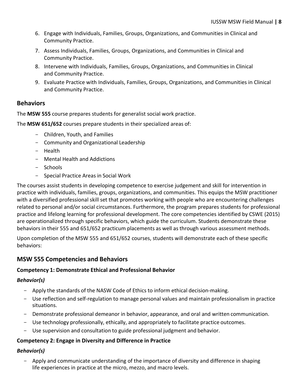- 6. Engage with Individuals, Families, Groups, Organizations, and Communities in Clinical and Community Practice.
- 7. Assess Individuals, Families, Groups, Organizations, and Communities in Clinical and Community Practice.
- 8. Intervene with Individuals, Families, Groups, Organizations, and Communities in Clinical and Community Practice.
- 9. Evaluate Practice with Individuals, Families, Groups, Organizations, and Communities in Clinical and Community Practice.

#### <span id="page-9-0"></span>**Behaviors**

The **MSW 555** course prepares students for generalist social work practice.

The **MSW 651/652** courses prepare students in their specialized areas of:

- Children, Youth, and Families
- Community and Organizational Leadership
- Health
- Mental Health and Addictions
- Schools
- Special Practice Areas in Social Work

The courses assist students in developing competence to exercise judgement and skill for intervention in practice with individuals, families, groups, organizations, and communities. This equips the MSW practitioner with a diversified professional skill set that promotes working with people who are encountering challenges related to personal and/or social circumstances. Furthermore, the program prepares students for professional practice and lifelong learning for professional development. The core competencies identified by CSWE (2015) are operationalized through specific behaviors, which guide the curriculum. Students demonstrate these behaviors in their 555 and 651/652 practicum placements as well as through various assessment methods.

Upon completion of the MSW 555 and 651/652 courses, students will demonstrate each of these specific behaviors:

#### <span id="page-9-1"></span>**MSW 555 Competencies and Behaviors**

#### **Competency 1: Demonstrate Ethical and Professional Behavior**

#### *Behavior(s)*

- Apply the standards of the NASW Code of Ethics to inform ethical decision-making.
- Use reflection and self-regulation to manage personal values and maintain professionalism in practice situations.
- Demonstrate professional demeanor in behavior, appearance, and oral and written communication.
- Use technology professionally, ethically, and appropriately to facilitate practice outcomes.
- Use supervision and consultation to guide professional judgment and behavior.

#### **Competency 2: Engage in Diversity and Difference in Practice**

#### *Behavior(s)*

Apply and communicate understanding of the importance of diversity and difference in shaping life experiences in practice at the micro, mezzo, and macro levels.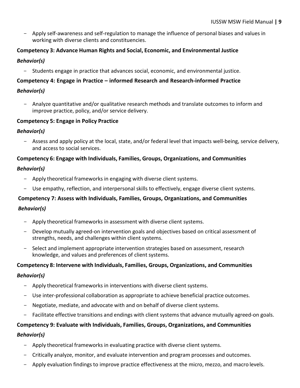- Apply self-awareness and self-regulation to manage the influence of personal biases and values in working with diverse clients and constituencies.

### **Competency 3: Advance Human Rights and Social, Economic, and Environmental Justice**

#### *Behavior(s)*

- Students engage in practice that advances social, economic, and environmental justice.

#### **Competency 4: Engage in Practice – informed Research and Research-informed Practice**

#### *Behavior(s)*

- Analyze quantitative and/or qualitative research methods and translate outcomes to inform and improve practice, policy, and/or service delivery.

#### **Competency 5: Engage in Policy Practice**

#### *Behavior(s)*

- Assess and apply policy at the local, state, and/or federal level that impacts well-being, service delivery, and access to social services.

#### **Competency 6: Engage with Individuals, Families, Groups, Organizations, and Communities**

#### *Behavior(s)*

- Apply theoretical frameworks in engaging with diverse client systems.
- Use empathy, reflection, and interpersonal skills to effectively, engage diverse client systems.

#### **Competency 7: Assess with Individuals, Families, Groups, Organizations, and Communities**

#### *Behavior(s)*

- Apply theoretical frameworks in assessment with diverse client systems.
- Develop mutually agreed-on intervention goals and objectives based on critical assessment of strengths, needs, and challenges within client systems.
- Select and implement appropriate intervention strategies based on assessment, research knowledge, and values and preferences of client systems.

#### **Competency 8: Intervene with Individuals, Families, Groups, Organizations, and Communities**

#### *Behavior(s)*

- Apply theoretical frameworks in interventions with diverse client systems.
- Use inter-professional collaboration as appropriate to achieve beneficial practice outcomes.
- Negotiate, mediate, and advocate with and on behalf of diverse client systems.
- Facilitate effective transitions and endings with client systems that advance mutually agreed-on goals.

#### **Competency 9: Evaluate with Individuals, Families, Groups, Organizations, and Communities**

#### *Behavior(s)*

- Apply theoretical frameworks in evaluating practice with diverse client systems.
- Critically analyze, monitor, and evaluate intervention and program processes and outcomes.
- Apply evaluation findings to improve practice effectiveness at the micro, mezzo, and macro levels.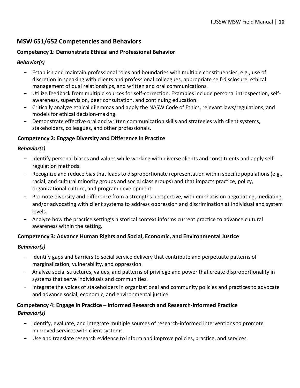#### <span id="page-11-0"></span>**MSW 651/652 Competencies and Behaviors**

#### **Competency 1: Demonstrate Ethical and Professional Behavior**

#### *Behavior(s)*

- Establish and maintain professional roles and boundaries with multiple constituencies, e.g., use of discretion in speaking with clients and professional colleagues, appropriate self-disclosure, ethical management of dual relationships, and written and oral communications.
- Utilize feedback from multiple sources for self-correction. Examples include personal introspection, selfawareness, supervision, peer consultation, and continuing education.
- Critically analyze ethical dilemmas and apply the NASW Code of Ethics, relevant laws/regulations, and models for ethical decision-making.
- Demonstrate effective oral and written communication skills and strategies with client systems, stakeholders, colleagues, and other professionals.

#### **Competency 2: Engage Diversity and Difference in Practice**

#### *Behavior(s)*

- Identify personal biases and values while working with diverse clients and constituents and apply selfregulation methods.
- Recognize and reduce bias that leads to disproportionate representation within specific populations (e.g., racial, and cultural minority groups and social class groups) and that impacts practice, policy, organizational culture, and program development.
- Promote diversity and difference from a strengths perspective, with emphasis on negotiating, mediating, and/or advocating with client systems to address oppression and discrimination at individual and system levels.
- Analyze how the practice setting's historical context informs current practice to advance cultural awareness within the setting.

#### **Competency 3: Advance Human Rights and Social, Economic, and Environmental Justice**

#### *Behavior(s)*

- Identify gaps and barriers to social service delivery that contribute and perpetuate patterns of marginalization, vulnerability, and oppression.
- Analyze social structures, values, and patterns of privilege and power that create disproportionality in systems that serve individuals and communities.
- Integrate the voices of stakeholders in organizational and community policies and practices to advocate and advance social, economic, and environmental justice.

#### **Competency 4: Engage in Practice – informed Research and Research-informed Practice** *Behavior(s)*

- Identify, evaluate, and integrate multiple sources of research-informed interventions to promote improved services with client systems.
- Use and translate research evidence to inform and improve policies, practice, and services.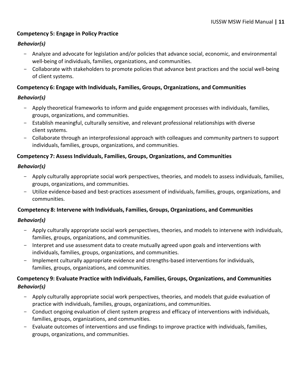#### **Competency 5: Engage in Policy Practice**

#### *Behavior(s)*

- Analyze and advocate for legislation and/or policies that advance social, economic, and environmental well-being of individuals, families, organizations, and communities.
- Collaborate with stakeholders to promote policies that advance best practices and the social well-being of client systems.

#### **Competency 6: Engage with Individuals, Families, Groups, Organizations, and Communities**

#### *Behavior(s)*

- Apply theoretical frameworks to inform and guide engagement processes with individuals, families, groups, organizations, and communities.
- Establish meaningful, culturally sensitive, and relevant professional relationships with diverse client systems.
- Collaborate through an interprofessional approach with colleagues and community partners to support individuals, families, groups, organizations, and communities.

#### **Competency 7: AssessIndividuals, Families, Groups, Organizations, and Communities**

#### *Behavior(s)*

- Apply culturally appropriate social work perspectives, theories, and models to assess individuals, families, groups, organizations, and communities.
- Utilize evidence-based and best-practices assessment of individuals, families, groups, organizations, and communities.

#### **Competency 8: Intervene with Individuals, Families, Groups, Organizations, and Communities**

#### *Behavior(s)*

- Apply culturally appropriate social work perspectives, theories, and models to intervene with individuals, families, groups, organizations, and communities.
- Interpret and use assessment data to create mutually agreed upon goals and interventions with individuals, families, groups, organizations, and communities.
- Implement culturally appropriate evidence and strengths-based interventions for individuals, families, groups, organizations, and communities.

#### **Competency 9: Evaluate Practice with Individuals, Families, Groups, Organizations, and Communities** *Behavior(s)*

- Apply culturally appropriate social work perspectives, theories, and models that guide evaluation of practice with individuals, families, groups, organizations, and communities.
- Conduct ongoing evaluation of client system progress and efficacy of interventions with individuals, families, groups, organizations, and communities.
- Evaluate outcomes of interventions and use findings to improve practice with individuals, families, groups, organizations, and communities.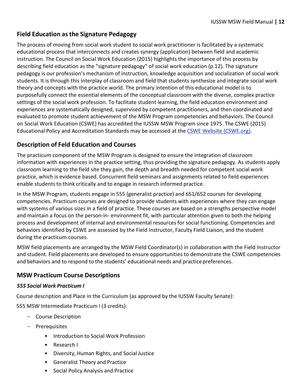#### <span id="page-13-0"></span>**Field Education asthe Signature Pedagogy**

The process of moving from social work student to social work practitioner is facilitated by a systematic educational process that interconnects and creates synergy (application) between field and academic instruction. The Council on Social Work Education (2015) highlights the importance of this process by describing field education as the "signature pedagogy" of social work education (p.12). The signature pedagogy is our profession's mechanism of instruction, knowledge acquisition and socialization of social work students. It is through this interplay of classroom and field that students synthesize and integrate social work theory and concepts with the practice world. The primary intention of this educational model is to purposefully connect the essential elements of the conceptual classroom with the diverse, complex practice settings of the social work profession. To facilitate student learning, the field education environment and experiences are systematically designed, supervised by competent practitioners, and then coordinated and evaluated to promote student achievement of the MSW Program competencies and behaviors. The Council on Social Work Education (CSWE) has accredited the IUSSW MSW Program since 1975. The CSWE (2015) Educational Policy and Accreditation Standards may be accessed at the [CSWE Website \(CSWE.org\).](http://www.cswe.org/)

#### <span id="page-13-1"></span>**Description of Feld Education and Courses**

The practicum component of the MSW Program is designed to ensure the integration of classroom information with experiences in the practice setting, thus providing the signature pedagogy. As students apply classroom learning to the field site they gain, the depth and breadth needed for competent social work practice, which is evidence based. Concurrent field seminars and assignments related to field experiences enable students to think critically and to engage in research informed practice.

In the MSW Program, students engage in 555 (generalist practice) and 651/652 courses for developing competencies. Practicum courses are designed to provide students with experiences where they can engage with systems of various sizes in a field of practice. These courses are based on a strengths perspective model and maintain a focus on the person-in- environment fit, with particular attention given to both the helping process and development of internal and environmental resources for social functioning. Competencies and behaviors identified by CSWE are assessed by the Field Instructor, Faculty Field Liaison, and the student during the practicum courses.

MSW field placements are arranged by the MSW Field Coordinator(s) in collaboration with the Field Instructor and student. Field placements are developed to ensure opportunities to demonstrate the CSWE competencies and behaviors and to respond to the students' educational needs and practice preferences.

#### <span id="page-13-2"></span>**MSW Practicum Course Descriptions**

#### *555 Social Work Practicum I*

Course description and Place in the Curriculum (as approved by the IUSSW Faculty Senate):

555 MSW Intermediate Practicum I (3 credits):

- Course Description
- Prerequisites
	- Introduction to Social Work Profession
	- Research I
	- Diversity, Human Rights, and Social Justice
	- Generalist Theory and Practice
	- Social Policy Analysis and Practice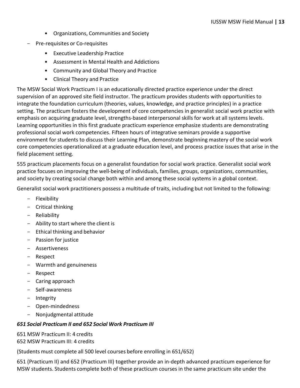- Organizations, Communities and Society
- Pre-requisites or Co-requisites
	- Executive Leadership Practice
	- Assessment in Mental Health and Addictions
	- Community and Global Theory and Practice
	- Clinical Theory and Practice

The MSW Social Work Practicum I is an educationally directed practice experience under the direct supervision of an approved site field instructor. The practicum provides students with opportunities to integrate the foundation curriculum (theories, values, knowledge, and practice principles) in a practice setting. The practicum fosters the development of core competencies in generalist social work practice with emphasis on acquiring graduate level, strengths-based interpersonal skills for work at all systems levels. Learning opportunities in this first graduate practicum experience emphasize students are demonstrating professional social work competencies. Fifteen hours of integrative seminars provide a supportive environment for students to discuss their Learning Plan, demonstrate beginning mastery of the social work core competencies operationalized at a graduate education level, and process practice issues that arise in the field placement setting.

555 practicum placements focus on a generalist foundation for social work practice. Generalist social work practice focuses on improving the well-being of individuals, families, groups, organizations, communities, and society by creating social change both within and among these social systems in a global context.

Generalist social work practitioners possess a multitude of traits, including but not limited to the following:

- Flexibility
- Critical thinking
- Reliability
- Ability to start where the client is
- Ethical thinking and behavior
- Passion for justice
- Assertiveness
- Respect
- Warmth and genuineness
- Respect
- Caring approach
- Self-awareness
- Integrity
- Open-mindedness
- Nonjudgmental attitude

#### *651 Social Practicum II and 652 Social Work Practicum III*

651 MSW Practicum II: 4 credits

652 MSW Practicum III: 4 credits

(Students must complete all 500 level courses before enrolling in 651/652)

651 (Practicum II) and 652 (Practicum III) together provide an in-depth advanced practicum experience for MSW students. Students complete both of these practicum courses in the same practicum site under the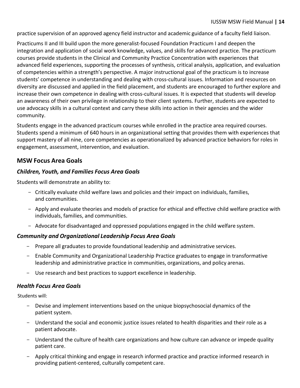practice supervision of an approved agency field instructor and academic guidance of a faculty field liaison.

Practicums II and III build upon the more generalist-focused Foundation Practicum I and deepen the integration and application of social work knowledge, values, and skills for advanced practice. The practicum courses provide students in the Clinical and Community Practice Concentration with experiences that advanced field experiences, supporting the processes of synthesis, critical analysis, application, and evaluation of competencies within a strength's perspective. A major instructional goal of the practicum is to increase students' competence in understanding and dealing with cross-cultural issues. Information and resources on diversity are discussed and applied in the field placement, and students are encouraged to further explore and increase their own competence in dealing with cross-cultural issues. It is expected that students will develop an awareness of their own privilege in relationship to their client systems. Further, students are expected to use advocacy skills in a cultural context and carry these skills into action in their agencies and the wider community.

Students engage in the advanced practicum courses while enrolled in the practice area required courses. Students spend a minimum of 640 hours in an organizational setting that provides them with experiences that support mastery of all nine, core competencies as operationalized by advanced practice behaviors for roles in engagement, assessment, intervention, and evaluation.

#### <span id="page-15-0"></span>**MSW Focus Area Goals**

#### *Children, Youth, and Families Focus Area Goals*

Students will demonstrate an ability to:

- Critically evaluate child welfare laws and policies and their impact on individuals, families, and communities.
- Apply and evaluate theories and models of practice for ethical and effective child welfare practice with individuals, families, and communities.
- Advocate for disadvantaged and oppressed populations engaged in the child welfare system.

#### *Community and Organizational Leadership Focus Area Goals*

- Prepare all graduates to provide foundational leadership and administrative services.
- Enable Community and Organizational Leadership Practice graduates to engage in transformative leadership and administrative practice in communities, organizations, and policy arenas.
- Use research and best practices to support excellence in leadership.

#### *Health Focus Area Goals*

Students will:

- Devise and implement interventions based on the unique biopsychosocial dynamics of the patient system.
- Understand the social and economic justice issues related to health disparities and their role as a patient advocate.
- Understand the culture of health care organizations and how culture can advance or impede quality patient care.
- Apply critical thinking and engage in research informed practice and practice informed research in providing patient-centered, culturally competent care.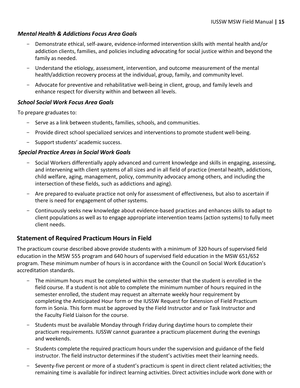#### *Mental Health & Addictions Focus Area Goals*

- Demonstrate ethical, self-aware, evidence-informed intervention skills with mental health and/or addiction clients, families, and policies including advocating for social justice within and beyond the family as needed.
- Understand the etiology, assessment, intervention, and outcome measurement of the mental health/addiction recovery process at the individual, group, family, and community level.
- Advocate for preventive and rehabilitative well-being in client, group, and family levels and enhance respect for diversity within and between all levels.

#### *School Social Work Focus Area Goals*

To prepare graduates to:

- Serve as a link between students, families, schools, and communities.
- Provide direct school specialized services and interventionsto promote student well-being.
- Support students' academic success.

#### *Special Practice Areas in Social Work Goals*

- Social Workers differentially apply advanced and current knowledge and skills in engaging, assessing, and intervening with client systems of all sizes and in all field of practice (mental health, addictions, child welfare, aging, management, policy, community advocacy among others, and including the intersection of these fields, such as addictions and aging).
- Are prepared to evaluate practice not only for assessment of effectiveness, but also to ascertain if there is need for engagement of other systems.
- Continuously seeks new knowledge about evidence-based practices and enhances skills to adapt to client populations as well as to engage appropriate intervention teams (action systems) to fully meet client needs.

#### <span id="page-16-0"></span>**Statement of Required Practicum Hours in Field**

The practicum course described above provide students with a minimum of 320 hours of supervised field education in the MSW 555 program and 640 hours of supervised field education in the MSW 651/652 program. These minimum number of hours is in accordance with the Council on Social Work Education's accreditation standards.

- The minimum hours must be completed within the semester that the student is enrolled in the field course. If a student is not able to complete the minimum number of hours required in the semester enrolled, the student may request an alternate weekly hour requirement by completing the Anticipated Hour form or the IUSSW Request for Extension of Field Practicum form in Sonia. This form must be approved by the Field Instructor and or Task Instructor and the Faculty Field Liaison for the course.
- Students must be available Monday through Friday during daytime hours to complete their practicum requirements. IUSSW cannot guarantee a practicum placement during the evenings and weekends.
- Students complete the required practicum hours under the supervision and guidance of the field instructor. The field instructor determines if the student's activities meet their learning needs.
- Seventy-five percent or more of a student's practicum is spent in direct client related activities; the remaining time is available for indirect learning activities. Direct activities include work done with or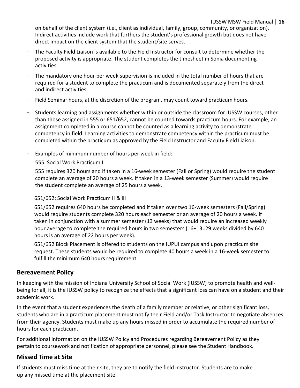#### IUSSW MSW Field Manual **| 16**

on behalf of the client system (i.e., client as individual, family, group, community, or organization). Indirect activities include work that furthers the student's professional growth but does not have direct impact on the client system that the student/site serves.

- The Faculty Field Liaison is available to the Field Instructor for consult to determine whether the proposed activity is appropriate. The student completes the timesheet in Sonia documenting activities.
- The mandatory one hour per week supervision is included in the total number of hours that are required for a student to complete the practicum and is documented separately from the direct and indirect activities.
- Field Seminar hours, at the discretion of the program, may count toward practicum hours.
- Students learning and assignments whether within or outside the classroom for IUSSW courses, other than those assigned in 555 or 651/652, cannot be counted towards practicum hours. For example, an assignment completed in a course cannot be counted as a learning activity to demonstrate competency in field. Learning activities to demonstrate competency within the practicum must be completed within the practicum as approved by the Field Instructor and Faculty Field Liaison.
- Examples of minimum number of hours per week in field:

555: Social Work Practicum I

555 requires 320 hours and if taken in a 16-week semester (Fall or Spring) would require the student complete an average of 20 hours a week. If taken in a 13-week semester (Summer) would require the student complete an average of 25 hours a week.

#### 651/652: Social Work Practicum II & III

651/652 requires 640 hours be completed and if taken over two 16-week semesters (Fall/Spring) would require students complete 320 hours each semester or an average of 20 hours a week. If taken in conjunction with a summer semester (13 weeks) that would require an increased weekly hour average to complete the required hours in two semesters (16+13=29 weeks divided by 640 hours is an average of 22 hours per week).

651/652 Block Placement is offered to students on the IUPUI campus and upon practicum site request. These students would be required to complete 40 hours a week in a 16-week semester to fulfill the minimum 640 hours requirement.

#### <span id="page-17-0"></span>**Bereavement Policy**

In keeping with the mission of Indiana University School of Social Work (IUSSW) to promote health and wellbeing for all, it is the IUSSW policy to recognize the effects that a significant loss can have on a student and their academic work.

In the event that a student experiences the death of a family member or relative, or other significant loss, students who are in a practicum placement must notify their Field and/or Task Instructor to negotiate absences from their agency. Students must make up any hours missed in order to accumulate the required number of hours for each practicum.

<span id="page-17-1"></span>For additional information on the IUSSW Policy and Procedures regarding Bereavement Policy as they pertain to coursework and notification of appropriate personnel, please see the Student Handbook.

#### **Missed Time at Site**

If students must miss time at their site, they are to notify the field instructor. Students are to make up any missed time at the placement site.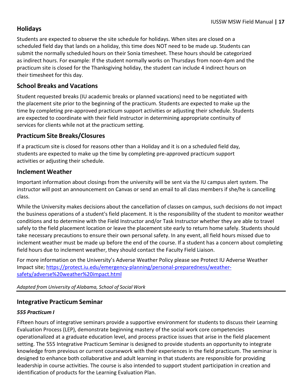#### <span id="page-18-0"></span>**Holidays**

Students are expected to observe the site schedule for holidays. When sites are closed on a scheduled field day that lands on a holiday, this time does NOT need to be made up. Students can submit the normally scheduled hours on their Sonia timesheet. These hours should be categorized as indirect hours. For example: If the student normally works on Thursdays from noon-4pm and the practicum site is closed for the Thanksgiving holiday, the student can include 4 indirect hours on their timesheet for this day.

#### <span id="page-18-1"></span>**School Breaks and Vacations**

Student requested breaks (IU academic breaks or planned vacations) need to be negotiated with the placement site prior to the beginning of the practicum. Students are expected to make up the time by completing pre-approved practicum support activities or adjusting their schedule. Students are expected to coordinate with their field instructor in determining appropriate continuity of services for clients while not at the practicum setting.

#### <span id="page-18-2"></span>**Practicum Site Breaks/Closures**

If a practicum site is closed for reasons other than a Holiday and it is on a scheduled field day, students are expected to make up the time by completing pre-approved practicum support activities or adjusting their schedule.

#### <span id="page-18-3"></span>**Inclement Weather**

Important information about closings from the university will be sent via the IU campus alert system. The instructor will post an announcement on Canvas or send an email to all class members if she/he is cancelling class.

While the University makes decisions about the cancellation of classes on campus, such decisions do not impact the business operations of a student's field placement. It is the responsibility of the student to monitor weather conditions and to determine with the Field Instructor and/or Task Instructor whether they are able to travel safely to the field placement location or leave the placement site early to return home safely. Students should take necessary precautions to ensure their own personal safety. In any event, all field hours missed due to inclement weather must be made up before the end of the course. If a student has a concern about completing field hours due to inclement weather, they should contact the Faculty Field Liaison.

For more information on the University's Adverse Weather Policy please see Protect IU Adverse Weather Impact site; [https://protect.iu.edu/emergency-planning/personal-preparedness/weather](https://protect.iu.edu/emergency-planning/personal-preparedness/weather-safety/adverse%20weather%20impact.html)[safety/adverse%20weather%20impact.html](https://protect.iu.edu/emergency-planning/personal-preparedness/weather-safety/adverse%20weather%20impact.html)

#### *Adapted from University of Alabama, School of Social Work*

#### <span id="page-18-4"></span>**Integrative Practicum Seminar**

#### *555 Practicum I*

Fifteen hours of integrative seminars provide a supportive environment for students to discuss their Learning Evaluation Process (LEP), demonstrate beginning mastery of the social work core competencies operationalized at a graduate education level, and process practice issues that arise in the field placement setting. The 555 Integrative Practicum Seminar is designed to provide students an opportunity to integrate knowledge from previous or current coursework with their experiences in the field practicum. The seminar is designed to enhance both collaborative and adult learning in that students are responsible for providing leadership in course activities. The course is also intended to support student participation in creation and identification of products for the Learning Evaluation Plan.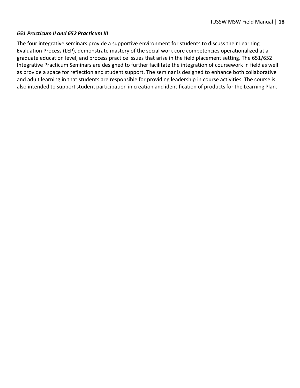#### *651 Practicum II and 652 Practicum III*

The four integrative seminars provide a supportive environment for students to discuss their Learning Evaluation Process (LEP), demonstrate mastery of the social work core competencies operationalized at a graduate education level, and process practice issues that arise in the field placement setting. The 651/652 Integrative Practicum Seminars are designed to further facilitate the integration of coursework in field as well as provide a space for reflection and student support. The seminar is designed to enhance both collaborative and adult learning in that students are responsible for providing leadership in course activities. The course is also intended to support student participation in creation and identification of products for the Learning Plan.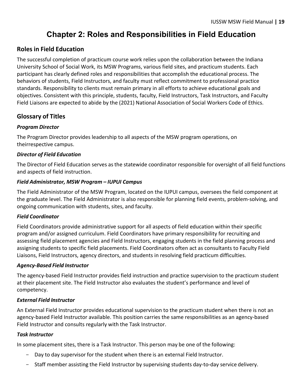## **Chapter 2: Roles and Responsibilities in Field Education**

#### <span id="page-20-0"></span>**Roles in Field Education**

The successful completion of practicum course work relies upon the collaboration between the Indiana University School of Social Work, its MSW Programs, various field sites, and practicum students. Each participant has clearly defined roles and responsibilities that accomplish the educational process. The behaviors of students, Field Instructors, and faculty must reflect commitment to professional practice standards. Responsibility to clients must remain primary in all efforts to achieve educational goals and objectives. Consistent with this principle, students, faculty, Field Instructors, Task Instructors, and Faculty Field Liaisons are expected to abide by the (2021) National Association of Social Workers Code of Ethics.

#### <span id="page-20-1"></span>**Glossary of Titles**

#### *Program Director*

The Program Director provides leadership to all aspects of the MSW program operations, on theirrespective campus.

#### *Director of Field Education*

The Director of Field Education serves as the statewide coordinator responsible for oversight of all field functions and aspects of field instruction.

#### *Field Administrator, MSW Program – IUPUI Campus*

The Field Administrator of the MSW Program, located on the IUPUI campus, oversees the field component at the graduate level. The Field Administrator is also responsible for planning field events, problem-solving, and ongoing communication with students, sites, and faculty.

#### *Field Coordinator*

Field Coordinators provide administrative support for all aspects of field education within their specific program and/or assigned curriculum. Field Coordinators have primary responsibility for recruiting and assessing field placement agencies and Field Instructors, engaging students in the field planning process and assigning students to specific field placements. Field Coordinators often act as consultants to Faculty Field Liaisons, Field Instructors, agency directors, and students in resolving field practicum difficulties.

#### *Agency-Based Field Instructor*

The agency-based Field Instructor provides field instruction and practice supervision to the practicum student at their placement site. The Field Instructor also evaluates the student's performance and level of competency.

#### *External Field Instructor*

An External Field Instructor provides educational supervision to the practicum student when there is not an agency-based Field Instructor available. This position carries the same responsibilities as an agency-based Field Instructor and consults regularly with the Task Instructor.

#### *Task Instructor*

In some placement sites, there is a Task Instructor. This person may be one of the following:

- Day to day supervisor for the student when there is an external Field Instructor.
- Staff member assisting the Field Instructor by supervising students day-to-day service delivery.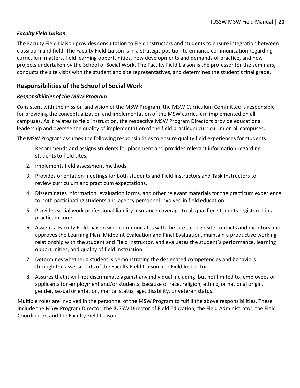#### *Faculty Field Liaison*

The Faculty Field Liaison provides consultation to Field Instructors and students to ensure integration between classroom and field. The Faculty Field Liaison is in a strategic position to enhance communication regarding curriculum matters, field learning opportunities, new developments and demands of practice, and new projects undertaken by the School of Social Work. The Faculty Field Liaison is the professor for the seminars, conducts the site visits with the student and site representatives, and determines the student's final grade.

#### <span id="page-21-0"></span>**Responsibilities of the School of Social Work**

#### *Responsibilities of the MSW Program*

Consistent with the mission and vision of the MSW Program, the MSW Curriculum Committee is responsible for providing the conceptualization and implementation of the MSW curriculum implemented on all campuses. As it relates to field instruction, the respective MSW Program Directors provide educational leadership and oversee the quality of implementation of the field practicum curriculum on all campuses.

The MSW Program assumes the following responsibilities to ensure quality field experiences for students:

- 1. Recommends and assigns students for placement and provides relevant information regarding students to field sites.
- 2. Implements field assessment methods.
- 3. Provides orientation meetings for both students and Field Instructors and Task Instructors to review curriculum and practicum expectations.
- 4. Disseminates information, evaluation forms, and other relevant materials for the practicum experience to both participating students and agency personnel involved in field education.
- 5. Provides social work professional liability insurance coverage to all qualified students registered in a practicum course.
- 6. Assigns a Faculty Field Liaison who communicates with the site through site contacts and monitors and approves the Learning Plan, Midpoint Evaluation and Final Evaluation, maintain a productive working relationship with the student and Field Instructor, and evaluates the student's performance, learning opportunities, and quality of field instruction.
- 7. Determines whether a student is demonstrating the designated competencies and behaviors through the assessments of the Faculty Field Liaison and Field Instructor.
- 8. Assures that it will not discriminate against any individual including, but not limited to, employees or applicants for employment and/or students, because of race, religion, ethnic, or national origin, gender, sexual orientation, marital status, age, disability, or veteran status.

Multiple roles are involved in the personnel of the MSW Program to fulfill the above responsibilities. These include the MSW Program Director, the IUSSW Director of Field Education, the Field Administrator, the Field Coordinator, and the Faculty Field Liaison.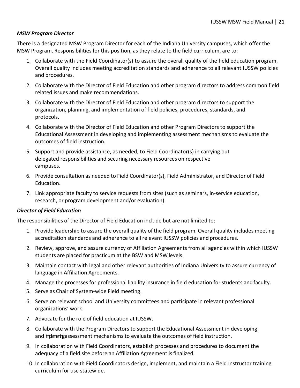#### *MSW Program Director*

There is a designated MSW Program Director for each of the Indiana University campuses, which offer the MSW Program. Responsibilities for this position, as they relate to the field curriculum, are to:

- 1. Collaborate with the Field Coordinator(s) to assure the overall quality of the field education program. Overall quality includes meeting accreditation standards and adherence to all relevant IUSSW policies and procedures.
- 2. Collaborate with the Director of Field Education and other program directors to address common field related issues and make recommendations.
- 3. Collaborate with the Director of Field Education and other program directors to support the organization, planning, and implementation of field policies, procedures, standards, and protocols.
- 4. Collaborate with the Director of Field Education and other Program Directors to support the Educational Assessment in developing and implementing assessment mechanisms to evaluate the outcomes of field instruction.
- 5. Support and provide assistance, as needed, to Field Coordinator(s) in carrying out delegated responsibilities and securing necessary resources on respective campuses.
- 6. Provide consultation as needed to Field Coordinator(s), Field Administrator, and Director of Field Education.
- 7. Link appropriate faculty to service requests from sites (such as seminars, in-service education, research, or program development and/or evaluation).

#### *Director of Field Education*

The responsibilities of the Director of Field Education include but are not limited to:

- 1. Provide leadership to assure the overall quality of the field program. Overall quality includes meeting accreditation standards and adherence to all relevant IUSSW policies and procedures.
- 2. Review, approve, and assure currency of Affiliation Agreements from all agencies within which IUSSW students are placed for practicum at the BSW and MSW levels.
- 3. Maintain contact with legal and other relevant authorities of Indiana University to assure currency of language in Affiliation Agreements.
- 4. Manage the processes for professional liability insurance in field education for students and faculty.
- 5. Serve as Chair of System-wide Field meeting.
- 6. Serve on relevant school and University committees and participate in relevant professional organizations' work.
- 7. Advocate for the role of field education at IUSSW.
- 8. Collaborate with the Program Directors to support the Educational Assessment in developing and implement mechanisms to evaluate the outcomes of field instruction.
- 9. In collaboration with Field Coordinators, establish processes and procedures to document the adequacy of a field site before an Affiliation Agreement is finalized.
- 10. In collaboration with Field Coordinators design, implement, and maintain a Field Instructor training curriculum for use statewide.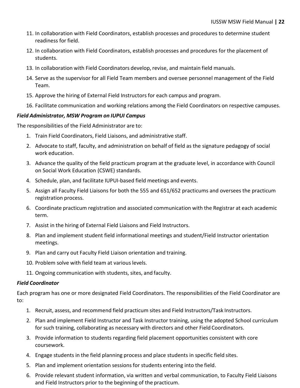- 11. In collaboration with Field Coordinators, establish processes and procedures to determine student readiness for field.
- 12. In collaboration with Field Coordinators, establish processes and procedures for the placement of students.
- 13. In collaboration with Field Coordinators develop,revise, and maintain field manuals.
- 14. Serve as the supervisor for all Field Team members and oversee personnel management of the Field Team.
- 15. Approve the hiring of External Field Instructors for each campus and program.
- 16. Facilitate communication and working relations among the Field Coordinators on respective campuses.

#### *Field Administrator, MSW Program on IUPUI Campus*

The responsibilities of the Field Administrator are to:

- 1. Train Field Coordinators, Field Liaisons, and administrative staff.
- 2. Advocate to staff, faculty, and administration on behalf of field as the signature pedagogy of social work education.
- 3. Advance the quality of the field practicum program at the graduate level, in accordance with Council on Social Work Education (CSWE) standards.
- 4. Schedule, plan, and facilitate IUPUI-based field meetings and events.
- 5. Assign all Faculty Field Liaisons for both the 555 and 651/652 practicums and oversees the practicum registration process.
- 6. Coordinate practicum registration and associated communication with the Registrar at each academic term.
- 7. Assist in the hiring of External Field Liaisons and Field Instructors.
- 8. Plan and implement student field informational meetings and student/Field Instructor orientation meetings.
- 9. Plan and carry out Faculty Field Liaison orientation and training.
- 10. Problem solve with field team at various levels.
- 11. Ongoing communication with students, sites, and faculty.

#### *Field Coordinator*

Each program has one or more designated Field Coordinators. The responsibilities of the Field Coordinator are to:

- 1. Recruit, assess, and recommend field practicum sites and Field Instructors/Task Instructors.
- 2. Plan and implement Field Instructor and Task Instructor training, using the adopted School curriculum for such training, collaborating as necessary with directors and other Field Coordinators.
- 3. Provide information to students regarding field placement opportunities consistent with core coursework.
- 4. Engage students in the field planning process and place students in specific field sites.
- 5. Plan and implement orientation sessionsfor students entering into the field.
- 6. Provide relevant student information, via written and verbal communication, to Faculty Field Liaisons and Field Instructors prior to the beginning of the practicum.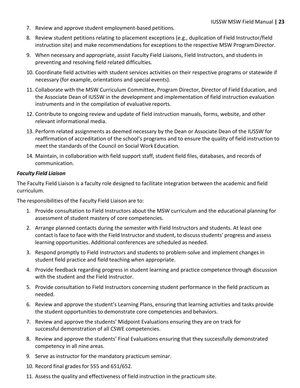- 7. Review and approve student employment-based petitions.
- 8. Review student petitions relating to placement exceptions (e.g., duplication of Field Instructor/field instruction site) and make recommendations for exceptions to the respective MSW ProgramDirector.
- 9. When necessary and appropriate, assist Faculty Field Liaisons, Field Instructors, and students in preventing and resolving field related difficulties.
- 10. Coordinate field activities with student services activities on their respective programs or statewide if necessary (for example, orientations and special events).
- 11. Collaborate with the MSW Curriculum Committee, Program Director, Director of Field Education, and the Associate Dean of IUSSW in the development and implementation of field instruction evaluation instruments and in the compilation of evaluative reports.
- 12. Contribute to ongoing review and update of field instruction manuals, forms, website, and other relevant informational media.
- 13. Perform related assignments as deemed necessary by the Dean or Associate Dean of the IUSSW for reaffirmation of accreditation of the school's programs and to ensure the quality of field instruction to meet the standards of the Council on Social Work Education.
- 14. Maintain, in collaboration with field support staff, student field files, databases, and records of communication.

#### *Faculty Field Liaison*

The Faculty Field Liaison is a faculty role designed to facilitate integration between the academic and field curriculum.

The responsibilities of the Faculty Field Liaison are to:

- 1. Provide consultation to Field Instructors about the MSW curriculum and the educational planning for assessment of student mastery of core competencies.
- 2. Arrange planned contacts during the semester with Field Instructors and students. At least one contact isface to face with the Field Instructor and student, to discussstudents' progress and assess learning opportunities. Additional conferences are scheduled as needed.
- 3. Respond promptly to Field Instructors and students to problem-solve and implement changes in student field practice and field teaching when appropriate.
- 4. Provide feedback regarding progress in student learning and practice competence through discussion with the student and the Field Instructor.
- 5. Provide consultation to Field Instructors concerning student performance in the field practicum as needed.
- 6. Review and approve the student's Learning Plans, ensuring that learning activities and tasks provide the student opportunities to demonstrate core competencies and behaviors.
- 7. Review and approve the students' Midpoint Evaluations ensuring they are on track for successful demonstration of all CSWE competencies.
- 8. Review and approve the students' Final Evaluations ensuring that they successfully demonstrated competency in all nine areas.
- 9. Serve as instructor for the mandatory practicum seminar.
- 10. Record final grades for 555 and 651/652.
- 11. Assess the quality and effectiveness of field instruction in the practicum site.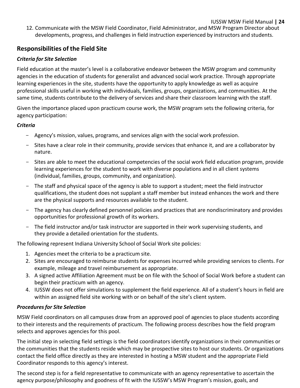12. Communicate with the MSW Field Coordinator, Field Administrator, and MSW Program Director about developments, progress, and challenges in field instruction experienced by instructors and students.

#### <span id="page-25-0"></span>**Responsibilities of the Field Site**

#### *Criteria for Site Selection*

Field education at the master's level is a collaborative endeavor between the MSW program and community agencies in the education of students for generalist and advanced social work practice. Through appropriate learning experiences in the site, students have the opportunity to apply knowledge as well as acquire professional skills useful in working with individuals, families, groups, organizations, and communities. At the same time, students contribute to the delivery of services and share their classroom learning with the staff.

Given the importance placed upon practicum course work, the MSW program sets the following criteria, for agency participation:

#### *Criteria*

- Agency's mission, values, programs, and services align with the social work profession.
- Sites have a clear role in their community, provide services that enhance it, and are a collaborator by nature.
- Sites are able to meet the educational competencies of the social work field education program, provide learning experiences for the student to work with diverse populations and in all client systems (individual, families, groups, community, and organization).
- The staff and physical space of the agency is able to support a student; meet the field instructor qualifications, the student does not supplant a staff member but instead enhances the work and there are the physical supports and resources available to the student.
- The agency has clearly defined personnel policies and practices that are nondiscriminatory and provides opportunities for professional growth of its workers.
- The field instructor and/or task instructor are supported in their work supervising students, and they provide a detailed orientation for the students.

The following represent Indiana University School of Social Work site policies:

- 1. Agencies meet the criteria to be a practicum site.
- 2. Sites are encouraged to reimburse students for expenses incurred while providing services to clients. For example, mileage and travel reimbursement as appropriate.
- 3. A signed active Affiliation Agreement must be on file with the School of Social Work before a student can begin their practicum with an agency.
- 4. IUSSW does not offer simulations to supplement the field experience. All of a student's hours in field are within an assigned field site working with or on behalf of the site's client system.

#### *Proceduresfor Site Selection*

MSW Field coordinators on all campuses draw from an approved pool of agencies to place students according to their interests and the requirements of practicum. The following process describes how the field program selects and approves agencies for this pool.

The initial step in selecting field settings is the field coordinators identify organizations in their communities or the communities that the students reside which may be prospective sites to host our students. Or organizations contact the field office directly as they are interested in hosting a MSW student and the appropriate Field Coordinator responds to this agency's interest.

The second step is for a field representative to communicate with an agency representative to ascertain the agency purpose/philosophy and goodness of fit with the IUSSW's MSW Program's mission, goals, and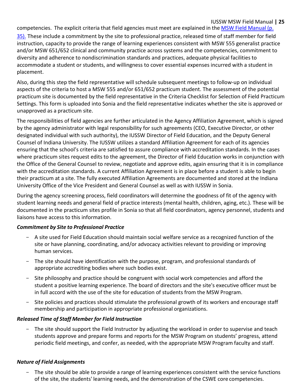#### IUSSW MSW Field Manual **| 25**

competencies. The explicit criteria that field agencies must meet are explained in the MSW Field Manual (p.

35). These include a commitment by the site to professional practice, released time of staff member for field instruction, capacity to provide the range of learning experiences consistent with MSW 555 generalist practice and/or MSW 651/652 clinical and community practice across systems and the competencies, commitment to diversity and adherence to nondiscrimination standards and practices, adequate physical facilities to accommodate a student or students, and willingness to cover essential expenses incurred with a student in placement.

Also, during this step the field representative will schedule subsequent meetings to follow-up on individual aspects of the criteria to host a MSW 555 and/or 651/652 practicum student. The assessment of the potential practicum site is documented by the field representative in the Criteria Checklist for Selection of Field Practicum Settings. This form is uploaded into Sonia and the field representative indicates whether the site is approved or unapproved as a practicum site.

The responsibilities of field agencies are further articulated in the Agency Affiliation Agreement, which is signed by the agency administrator with legal responsibility for such agreements (CEO, Executive Director, or other designated individual with such authority), the IUSSW Director of Field Education, and the Deputy General Counsel of Indiana University. The IUSSW utilizes a standard Affiliation Agreement for each of its agencies ensuring that the school's criteria are satisfied to assure compliance with accreditation standards. In the cases where practicum sites request edits to the agreement, the Director of Field Education works in conjunction with the Office of the General Counsel to review, negotiate and approve edits, again ensuring that it is in compliance with the accreditation standards. A current Affiliation Agreement is in place before a student is able to begin their practicum at a site. The fully executed Affiliation Agreements are documented and stored at the Indiana University Office of the Vice President and General Counsel as well as with IUSSW in Sonia.

During the agency screening process, field coordinators will determine the goodness of fit of the agency with student learning needs and general field of practice interests (mental health, children, aging, etc.). These will be documented in the practicum sites profile in Sonia so that all field coordinators, agency personnel, students and liaisons have access to this information.

#### *Commitment by Site to Professional Practice*

- A site used for Field Education should maintain social welfare service as a recognized function of the site or have planning, coordinating, and/or advocacy activities relevant to providing or improving human services.
- The site should have identification with the purpose, program, and professional standards of appropriate accrediting bodies where such bodies exist.
- Site philosophy and practice should be congruent with social work competencies and afford the student a positive learning experience. The board of directors and the site's executive officer must be in full accord with the use of the site for education of students from the MSW Program.
- Site policies and practices should stimulate the professional growth of its workers and encourage staff membership and participation in appropriate professional organizations.

#### *Released Time of Staff Member for Field Instruction*

- The site should support the Field Instructor by adjusting the workload in order to supervise and teach students approve and prepare forms and reports for the MSW Program on students' progress, attend periodic field meetings, and confer, as needed, with the appropriate MSW Program faculty and staff.

#### *Nature of Field Assignments*

- The site should be able to provide a range of learning experiences consistent with the service functions of the site, the students' learning needs, and the demonstration of the CSWE core competencies.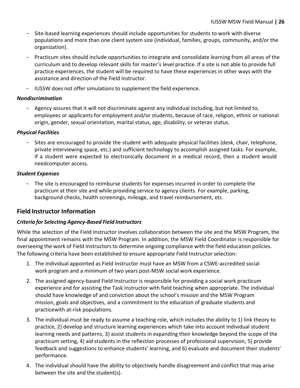- Site-based learning experiences should include opportunities for students to work with diverse populations and more than one client system size (individual, families, groups, community, and/or the organization).
- Practicum sites should include opportunities to integrate and consolidate learning from all areas of the curriculum and to develop relevant skills for master's level practice. If a site is not able to provide full practice experiences, the student will be required to have these experiences in other ways with the assistance and direction of the Field Instructor.
- IUSSW does not offer simulations to supplement the field experience.

#### *Nondiscrimination*

Agency assures that it will not discriminate against any individual including, but not limited to, employees or applicants for employment and/or students, because of race, religion, ethnic or national origin, gender, sexual orientation, marital status, age, disability, or veteran status.

#### *Physical Facilities*

- Sites are encouraged to provide the student with adequate physical facilities (desk, chair, telephone, private interviewing space, etc.) and sufficient technology to accomplish assigned tasks. For example, if a student were expected to electronically document in a medical record, then a student would needcomputer access.

#### *Student Expenses*

- The site is encouraged to reimburse students for expenses incurred in order to complete the practicum at their site and while providing service to agency clients. For example, parking, background checks, health screenings, mileage, and travel reimbursement, etc.

#### <span id="page-27-0"></span>**Field Instructor Information**

#### *Criteria for Selecting Agency-Based Field Instructors*

While the selection of the Field Instructor involves collaboration between the site and the MSW Program, the final appointment remains with the MSW Program. In addition, the MSW Field Coordinator is responsible for overseeing the work of Field Instructors to determine ongoing compliance with the field education policies. The following criteria have been established to ensure appropriate Field Instructor selection:

- 1. The individual appointed as Field Instructor must have an MSW from a CSWE-accredited social work program and a minimum of two years post-MSW social work experience.
- 2. The assigned agency-based Field Instructor is responsible for providing a social work practicum experience and for assisting the Task Instructor with field teaching when appropriate. The individual should have knowledge of and conviction about the school's mission and the MSW Program mission, goals and objectives, and a commitment to the education of graduate students and practicewith at-risk populations.
- 3. The individual must be ready to assume a teaching role, which includes the ability to 1) link theory to practice, 2) develop and structure learning experiences which take into account individual student learning needs and patterns, 3) assist students in expanding their knowledge beyond the scope of the practicum setting, 4) aid students in the reflection processes of professional supervision, 5) provide feedback and suggestions to enhance students' learning, and 6) evaluate and document their students' performance.
- 4. The individual should have the ability to objectively handle disagreement and conflict that may arise between the site and the student(s).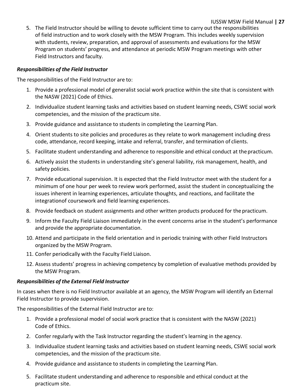5. The Field Instructor should be willing to devote sufficient time to carry out the responsibilities of field instruction and to work closely with the MSW Program. This includes weekly supervision with students, review, preparation, and approval of assessments and evaluations for the MSW Program on students' progress, and attendance at periodic MSW Program meetings with other Field Instructors and faculty.

#### *Responsibilities of the Field Instructor*

The responsibilities of the Field Instructor are to:

- 1. Provide a professional model of generalist social work practice within the site that is consistent with the NASW (2021) Code of Ethics.
- 2. Individualize student learning tasks and activities based on student learning needs, CSWE social work competencies, and the mission of the practicum site.
- 3. Provide guidance and assistance to students in completing the Learning Plan.
- 4. Orient students to site policies and procedures as they relate to work management including dress code, attendance, record keeping, intake and referral, transfer, and termination of clients.
- 5. Facilitate student understanding and adherence to responsible and ethical conduct at thepracticum.
- 6. Actively assist the students in understanding site's general liability, risk management, health, and safety policies.
- 7. Provide educational supervision. It is expected that the Field Instructor meet with the student for a minimum of one hour per week to review work performed, assist the student in conceptualizing the issues inherent in learning experiences, articulate thoughts, and reactions, and facilitate the integrationof coursework and field learning experiences.
- 8. Provide feedback on student assignments and other written products produced for the practicum.
- 9. Inform the Faculty Field Liaison immediately in the event concerns arise in the student's performance and provide the appropriate documentation.
- 10. Attend and participate in the field orientation and in periodic training with other Field Instructors organized by the MSW Program.
- 11. Confer periodically with the Faculty Field Liaison.
- 12. Assess students' progress in achieving competency by completion of evaluative methods provided by the MSW Program.

#### *Responsibilities of the External Field Instructor*

In cases when there is no Field Instructor available at an agency, the MSW Program will identify an External Field Instructor to provide supervision.

The responsibilities of the External Field Instructor are to:

- 1. Provide a professional model of social work practice that is consistent with the NASW (2021) Code of Ethics.
- 2. Confer regularly with the Task Instructor regarding the student's learning in the agency.
- 3. Individualize student learning tasks and activities based on student learning needs, CSWE social work competencies, and the mission of the practicum site.
- 4. Provide guidance and assistance to students in completing the Learning Plan.
- 5. Facilitate student understanding and adherence to responsible and ethical conduct at the practicum site.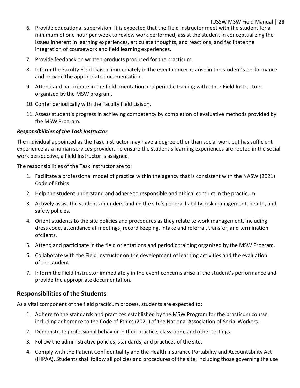- 6. Provide educational supervision. It is expected that the Field Instructor meet with the student for a minimum of one hour per week to review work performed, assist the student in conceptualizing the issues inherent in learning experiences, articulate thoughts, and reactions, and facilitate the integration of coursework and field learning experiences.
- 7. Provide feedback on written products produced for the practicum.
- 8. Inform the Faculty Field Liaison immediately in the event concerns arise in the student's performance and provide the appropriate documentation.
- 9. Attend and participate in the field orientation and periodic training with other Field Instructors organized by the MSW program.
- 10. Confer periodically with the Faculty Field Liaison.
- 11. Assess student's progress in achieving competency by completion of evaluative methods provided by the MSW Program.

#### *Responsibilities of the Task Instructor*

The individual appointed as the Task Instructor may have a degree other than social work but has sufficient experience as a human services provider. To ensure the student's learning experiences are rooted in the social work perspective, a Field Instructor is assigned.

The responsibilities of the Task Instructor are to:

- 1. Facilitate a professional model of practice within the agency that is consistent with the NASW (2021) Code of Ethics.
- 2. Help the student understand and adhere to responsible and ethical conduct in the practicum.
- 3. Actively assist the students in understanding the site's general liability, risk management, health, and safety policies.
- 4. Orient students to the site policies and procedures as they relate to work management, including dress code, attendance at meetings, record keeping, intake and referral, transfer, and termination ofclients.
- 5. Attend and participate in the field orientations and periodic training organized by the MSW Program.
- 6. Collaborate with the Field Instructor on the development of learning activities and the evaluation of the student.
- 7. Inform the Field Instructor immediately in the event concerns arise in the student's performance and provide the appropriate documentation.

#### <span id="page-29-0"></span>**Responsibilities of the Students**

As a vital component of the field practicum process, students are expected to:

- 1. Adhere to the standards and practices established by the MSW Program for the practicum course including adherence to the Code of Ethics (2021) of the National Association of Social Workers.
- 2. Demonstrate professional behavior in their practice, classroom, and othersettings.
- 3. Follow the administrative policies, standards, and practices of the site.
- 4. Comply with the Patient Confidentiality and the Health Insurance Portability and Accountability Act (HIPAA). Students shall follow all policies and procedures of the site, including those governing the use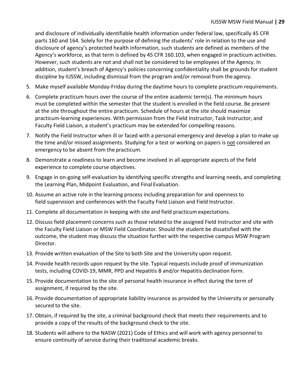and disclosure of individually identifiable health information under federal law, specifically 45 CFR parts 160 and 164. Solely for the purpose of defining the students' role in relation to the use and disclosure of agency's protected health information, such students are defined as members of the Agency's workforce, as that term is defined by 45 CFR 160.103, when engaged in practicum activities. However, such students are not and shall not be considered to be employees of the Agency. In addition, student's breach of Agency's policies concerning confidentiality shall be grounds for student discipline by IUSSW, including dismissal from the program and/or removal from the agency.

- 5. Make myself available Monday-Friday during the daytime hours to complete practicum requirements.
- 6. Complete practicum hours over the course of the entire academic term(s). The minimum hours must be completed within the semester that the student is enrolled in the field course. Be present at the site throughout the entire practicum. Schedule of hours at the site should maximize practicum-learning experiences. With permission from the Field Instructor, Task Instructor, and Faculty Field Liaison, a student's practicum may be extended for compelling reasons.
- 7. Notify the Field Instructor when ill or faced with a personal emergency and develop a plan to make up the time and/or missed assignments. Studying for a test or working on papers is not considered an emergency to be absent from the practicum.
- 8. Demonstrate a readiness to learn and become involved in all appropriate aspects of the field experience to complete course objectives.
- 9. Engage in on-going self-evaluation by identifying specific strengths and learning needs, and completing the Learning Plan, Midpoint Evaluation, and Final Evaluation.
- 10. Assume an active role in the learning process including preparation for and openness to field supervision and conferences with the Faculty Field Liaison and Field Instructor.
- 11. Complete all documentation in keeping with site and field practicum expectations.
- 12. Discuss field placement concerns such as those related to the assigned Field Instructor and site with the Faculty Field Liaison or MSW Field Coordinator. Should the student be dissatisfied with the outcome, the student may discuss the situation further with the respective campus MSW Program Director.
- 13. Provide written evaluation of the Site to both Site and the University upon request.
- 14. Provide health records upon request by the site. Typical requests include proof of immunization tests, including COVID-19, MMR, PPD and Hepatitis B and/or Hepatitis declination form.
- 15. Provide documentation to the site of personal health insurance in effect during the term of assignment, if required by the site.
- 16. Provide documentation of appropriate liability insurance as provided by the University or personally secured to the site.
- 17. Obtain, if required by the site, a criminal background check that meets their requirements and to provide a copy of the results of the background check to the site.
- 18. Students will adhere to the NASW (2021) Code of Ethics and will work with agency personnel to ensure continuity of service during their traditional academic breaks.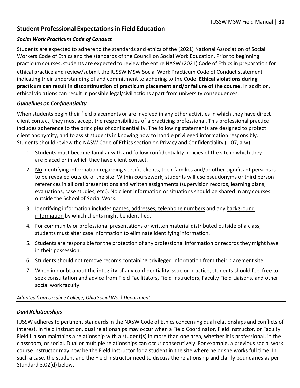#### <span id="page-31-0"></span>**Student Professional Expectations in Field Education**

#### *Social Work Practicum Code of Conduct*

Students are expected to adhere to the standards and ethics of the (2021) National Association of Social Workers Code of Ethics and the standards of the Council on Social Work Education. Prior to beginning practicum courses, students are expected to review the entire NASW (2021) Code of Ethics in preparation for ethical practice and review/submit the IUSSW MSW Social Work Practicum Code of Conduct statement indicating their understanding of and commitment to adhering to the Code. **Ethical violations during practicum can result in discontinuation of practicum placement and/or failure of the course.** In addition, ethical violations can result in possible legal/civil actions apart from university consequences.

#### *Guidelines on Confidentiality*

When students begin their field placements or are involved in any other activities in which they have direct client contact, they must accept the responsibilities of a practicing professional. This professional practice includes adherence to the principles of confidentiality. The following statements are designed to protect client anonymity, and to assist students in knowing how to handle privileged information responsibly. Students should review the NASW Code of Ethics section on Privacy and Confidentiality (1.07, a-w).

- 1. Students must become familiar with and follow confidentiality policies of the site in which they are placed or in which they have client contact.
- 2. No identifying information regarding specific clients, their families and/or other significant persons is to be revealed outside of the site. Within coursework, students will use pseudonyms or third person references in all oral presentations and written assignments (supervision records, learning plans, evaluations, case studies, etc.). No client information or situations should be shared in any courses outside the School of Social Work.
- 3. Identifying information includes names, addresses, telephone numbers and any background information by which clients might be identified.
- 4. For community or professional presentations or written material distributed outside of a class, students must alter case information to eliminate identifying information.
- 5. Students are responsible for the protection of any professional information or records they might have in their possession.
- 6. Students should not remove records containing privileged information from their placementsite.
- 7. When in doubt about the integrity of any confidentiality issue or practice, students should feel free to seek consultation and advice from Field Facilitators, Field Instructors, Faculty Field Liaisons, and other social work faculty.

#### *Adapted from Ursuline College, Ohio Social Work Department*

#### *Dual Relationships*

IUSSW adheres to pertinent standards in the NASW Code of Ethics concerning dual relationships and conflicts of interest. In field instruction, dual relationships may occur when a Field Coordinator, Field Instructor, or Faculty Field Liaison maintains a relationship with a student(s) in more than one area, whether it is professional, in the classroom, or social. Dual or multiple relationships can occur consecutively. For example, a previous social work course instructor may now be the Field Instructor for a student in the site where he or she works full time. In such a case, the student and the Field Instructor need to discuss the relationship and clarify boundaries as per Standard 3.02(d) below.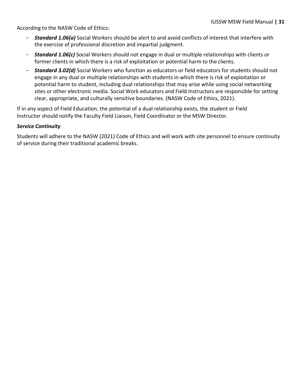According to the NASW Code of Ethics:

- Standard 1.06(a) Social Workers should be alert to and avoid conflicts of interest that interfere with the exercise of professional discretion and impartial judgment.
- *Standard 1.06(c)* Social Workers should not engage in dual or multiple relationships with clients or former clients in which there is a risk of exploitation or potential harm to the clients.
- *Standard 3.02(d)* Social Workers who function as educators or field educators for students should not engage in any dual or multiple relationships with students in which there is risk of exploitation or potential harm to student, including dual relationships that may arise while using social networking sites or other electronic media. Social Work educators and Field Instructors are responsible for setting clear, appropriate, and culturally sensitive boundaries. (NASW Code of Ethics, 2021).

If in any aspect of Field Education, the potential of a dual relationship exists, the student or Field Instructor should notify the Faculty Field Liaison, Field Coordinator or the MSW Director.

#### *Service Continuity*

Students will adhere to the NASW (2021) Code of Ethics and will work with site personnel to ensure continuity of service during their traditional academic breaks.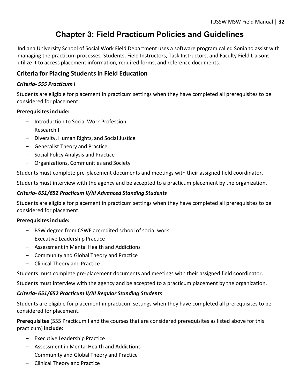## **Chapter 3: Field Practicum Policies and Guidelines**

<span id="page-33-0"></span>Indiana University School of Social Work Field Department uses a software program called Sonia to assist with managing the practicum processes. Students, Field Instructors, Task Instructors, and Faculty Field Liaisons utilize it to access placement information, required forms, and reference documents.

#### <span id="page-33-1"></span>**Criteria for Placing Studentsin Field Education**

#### *Criteria- 555 Practicum I*

Students are eligible for placement in practicum settings when they have completed all prerequisites to be considered for placement.

#### **Prerequisitesinclude:**

- Introduction to Social Work Profession
- Research I
- Diversity, Human Rights, and Social Justice
- Generalist Theory and Practice
- Social Policy Analysis and Practice
- Organizations, Communities and Society

Students must complete pre-placement documents and meetings with their assigned field coordinator.

Students must interview with the agency and be accepted to a practicum placement by the organization.

#### *Criteria- 651/652 Practicum II/III Advanced Standing Students*

Students are eligible for placement in practicum settings when they have completed all prerequisites to be considered for placement.

#### **Prerequisitesinclude:**

- BSW degree from CSWE accredited school of social work
- Executive Leadership Practice
- Assessment in Mental Health and Addictions
- Community and Global Theory and Practice
- Clinical Theory and Practice

Students must complete pre-placement documents and meetings with their assigned field coordinator.

Students must interview with the agency and be accepted to a practicum placement by the organization.

#### *Criteria- 651/652 Practicum II/III Regular Standing Students*

Students are eligible for placement in practicum settings when they have completed all prerequisites to be considered for placement.

**Prerequisites** (555 Practicum I and the courses that are considered prerequisites as listed above for this practicum) **include:**

- Executive Leadership Practice
- Assessment in Mental Health and Addictions
- Community and Global Theory and Practice
- Clinical Theory and Practice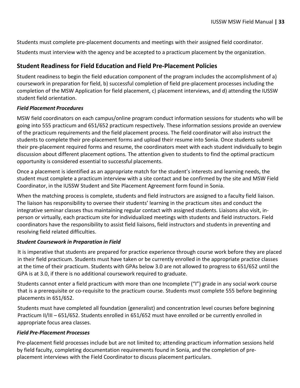Students must complete pre-placement documents and meetings with their assigned field coordinator.

Students must interview with the agency and be accepted to a practicum placement by the organization.

#### <span id="page-34-0"></span>**Student Readiness for Field Education and Field Pre-Placement Policies**

Student readiness to begin the field education component of the program includes the accomplishment of a) coursework in preparation for field, b) successful completion of field pre-placement processes including the completion of the MSW Application for field placement, c) placement interviews, and d) attending the IUSSW student field orientation.

#### *Field Placement Procedures*

MSW field coordinators on each campus/online program conduct information sessions for students who will be going into 555 practicum and 651/652 practicum respectively. These information sessions provide an overview of the practicum requirements and the field placement process. The field coordinator will also instruct the students to complete their pre-placement forms and upload their resume into Sonia. Once students submit their pre-placement required forms and resume, the coordinators meet with each student individually to begin discussion about different placement options. The attention given to students to find the optimal practicum opportunity is considered essential to successful placements.

Once a placement is identified as an appropriate match for the student's interests and learning needs, the student must complete a practicum interview with a site contact and be confirmed by the site and MSW Field Coordinator, in the IUSSW Student and Site Placement Agreement form found in Sonia.

When the matching process is complete, students and field instructors are assigned to a faculty field liaison. The liaison has responsibility to oversee their students' learning in the practicum sites and conduct the integrative seminar classes thus maintaining regular contact with assigned students. Liaisons also visit, inperson or virtually, each practicum site for individualized meetings with students and field instructors. Field coordinators have the responsibility to assist field liaisons, field instructors and students in preventing and resolving field related difficulties.

#### *Student Coursework in Preparation in Field*

It is imperative that students are prepared for practice experience through course work before they are placed in their field practicum. Students must have taken or be currently enrolled in the appropriate practice classes at the time of their practicum. Students with GPAs below 3.0 are not allowed to progress to 651/652 until the GPA is at 3.0, if there is no additional coursework required to graduate.

Students cannot enter a field practicum with more than one Incomplete ("I") grade in any social work course that is a prerequisite or co-requisite to the practicum course. Students must complete 555 before beginning placements in 651/652.

Students must have completed all foundation (generalist) and concentration level courses before beginning Practicum II/III – 651/652. Students enrolled in 651/652 must have enrolled or be currently enrolled in appropriate focus area classes.

#### *Field Pre-Placement Processes*

Pre-placement field processes include but are not limited to; attending practicum information sessions held by field faculty, completing documentation requirements found in Sonia, and the completion of preplacement interviews with the Field Coordinator to discuss placement particulars.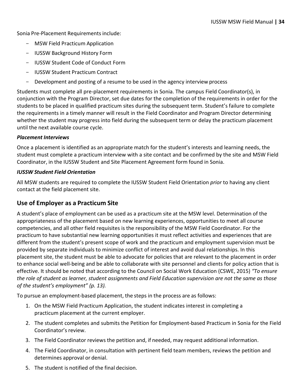Sonia Pre-Placement Requirements include:

- MSW Field Practicum Application
- IUSSW Background History Form
- IUSSW Student Code of Conduct Form
- IUSSW Student Practicum Contract
- Development and posting of a resume to be used in the agency interview process

Students must complete all pre-placement requirements in Sonia. The campus Field Coordinator(s), in conjunction with the Program Director, set due dates for the completion of the requirements in order for the students to be placed in qualified practicum sites during the subsequent term. Student's failure to complete the requirements in a timely manner will result in the Field Coordinator and Program Director determining whether the student may progress into field during the subsequent term or delay the practicum placement until the next available course cycle.

#### *Placement Interviews*

Once a placement is identified as an appropriate match for the student's interests and learning needs, the student must complete a practicum interview with a site contact and be confirmed by the site and MSW Field Coordinator, in the IUSSW Student and Site Placement Agreement form found in Sonia.

#### *IUSSW Student Field Orientation*

All MSW students are required to complete the IUSSW Student Field Orientation *prior* to having any client contact at the field placement site.

#### <span id="page-35-0"></span>**Use of Employer as a Practicum Site**

A student's place of employment can be used as a practicum site at the MSW level. Determination of the appropriateness of the placement based on new learning experiences, opportunities to meet all course competencies, and all other field requisites is the responsibility of the MSW Field Coordinator. For the practicum to have substantial new learning opportunities it must reflect activities and experiences that are different from the student's present scope of work and the practicum and employment supervision must be provided by separate individuals to minimize conflict of interest and avoid dual relationships. In this placement site, the student must be able to advocate for policies that are relevant to the placement in order to enhance social well-being and be able to collaborate with site personnel and clients for policy action that is effective. It should be noted that according to the Council on Social Work Education (CSWE, 2015) *"To ensure the role of student as learner, student assignments and Field Education supervision are not the same as those of the student's employment" (p. 13).*

To pursue an employment-based placement, the steps in the process are as follows:

- 1. On the MSW Field Practicum Application, the student indicates interest in completing a practicum placement at the current employer.
- 2. The student completes and submits the Petition for Employment-based Practicum in Sonia for the Field Coordinator's review.
- 3. The Field Coordinator reviews the petition and, if needed, may request additional information.
- 4. The Field Coordinator, in consultation with pertinent field team members, reviews the petition and determines approval or denial.
- 5. The student is notified of the final decision.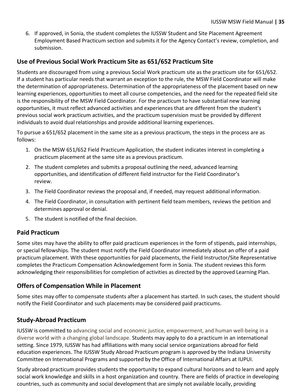6. If approved, in Sonia, the student completes the IUSSW Student and Site Placement Agreement Employment Based Practicum section and submits it for the Agency Contact's review, completion, and submission.

#### <span id="page-36-0"></span>**Use of Previous Social Work Practicum Site as 651/652 Practicum Site**

Students are discouraged from using a previous Social Work practicum site as the practicum site for 651/652. If a student has particular needs that warrant an exception to the rule, the MSW Field Coordinator will make the determination of appropriateness. Determination of the appropriateness of the placement based on new learning experiences, opportunities to meet all course competencies, and the need for the repeated field site is the responsibility of the MSW Field Coordinator. For the practicum to have substantial new learning opportunities, it must reflect advanced activities and experiences that are different from the student's previous social work practicum activities, and the practicum supervision must be provided by different individuals to avoid dual relationships and provide additional learning experiences.

To pursue a 651/652 placement in the same site as a previous practicum, the steps in the process are as follows:

- 1. On the MSW 651/652 Field Practicum Application, the student indicates interest in completing a practicum placement at the same site as a previous practicum.
- 2. The student completes and submits a proposal outlining the need, advanced learning opportunities, and identification of different field instructor for the Field Coordinator's review.
- 3. The Field Coordinator reviews the proposal and, if needed, may request additional information.
- 4. The Field Coordinator, in consultation with pertinent field team members, reviews the petition and determines approval or denial.
- 5. The student is notified of the final decision.

#### <span id="page-36-1"></span>**Paid Practicum**

Some sites may have the ability to offer paid practicum experiences in the form of stipends, paid internships, or special fellowships. The student must notify the Field Coordinator immediately about an offer of a paid practicum placement. With these opportunities for paid placements, the Field Instructor/Site Representative completes the Practicum Compensation Acknowledgement form in Sonia. The student reviews this form acknowledging their responsibilities for completion of activities as directed by the approved Learning Plan.

#### <span id="page-36-2"></span>**Offers of Compensation While in Placement**

Some sites may offer to compensate students after a placement has started. In such cases, the student should notify the Field Coordinator and such placements may be considered paid practicums.

#### <span id="page-36-3"></span>**Study-Abroad Practicum**

IUSSW is committed to advancing social and economic justice, empowerment, and human well-being in a diverse world with a changing global landscape. Students may apply to do a practicum in an international setting. Since 1979, IUSSW has had affiliations with many social service organizations abroad for field education experiences. The IUSSW Study Abroad Practicum program is approved by the Indiana University Committee on International Programs and supported by the Office of International Affairs at IUPUI.

Study abroad practicum provides students the opportunity to expand cultural horizons and to learn and apply social work knowledge and skills in a host organization and country. There are fields of practice in developing countries, such as community and social development that are simply not available locally, providing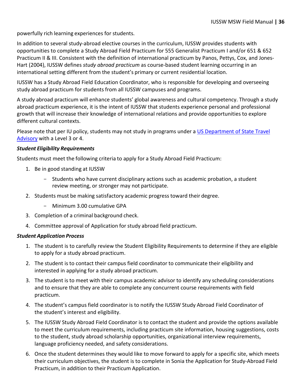powerfully rich learning experiences for students.

In addition to several study-abroad elective courses in the curriculum, IUSSW provides students with opportunities to complete a Study Abroad Field Practicum for 555 Generalist Practicum I and/or 651 & 652 Practicum II & III. Consistent with the definition of international practicum by Panos, Pettys, Cox, and Jones-Hart (2004), IUSSW defines *study abroad practicum* as course-based student learning occurring in an international setting different from the student's primary or current residential location.

IUSSW has a Study Abroad Field Education Coordinator, who is responsible for developing and overseeing study abroad practicum for students from all IUSSW campuses and programs.

A study abroad practicum will enhance students' global awareness and cultural competency. Through a study abroad practicum experience, it is the intent of IUSSW that students experience personal and professional growth that will increase their knowledge of international relations and provide opportunities to explore different cultural contexts.

Please note that per IU policy, students may not study in programs under a [US Department of State Travel](https://travel.state.gov/content/travel/en/traveladvisories/traveladvisories.html/) [Advisory](https://travel.state.gov/content/travel/en/traveladvisories/traveladvisories.html/) with a Level 3 or 4.

#### *Student Eligibility Requirements*

Students must meet the following criteria to apply for a Study Abroad Field Practicum:

- 1. Be in good standing at IUSSW
	- Students who have current disciplinary actions such as academic probation, a student review meeting, or stronger may not participate.
- 2. Students must be making satisfactory academic progress toward their degree.
	- Minimum 3.00 cumulative GPA
- 3. Completion of a criminal background check.
- 4. Committee approval of Application for study abroad field practicum.

#### *Student Application Process*

- 1. The student is to carefully review the Student Eligibility Requirements to determine if they are eligible to apply for a study abroad practicum.
- 2. The student is to contact their campus field coordinator to communicate their eligibility and interested in applying for a study abroad practicum.
- 3. The student is to meet with their campus academic advisor to identify any scheduling considerations and to ensure that they are able to complete any concurrent course requirements with field practicum.
- 4. The student's campus field coordinator is to notify the IUSSW Study Abroad Field Coordinator of the student's interest and eligibility.
- 5. The IUSSW Study Abroad Field Coordinator is to contact the student and provide the options available to meet the curriculum requirements, including practicum site information, housing suggestions, costs to the student, study abroad scholarship opportunities, organizational interview requirements, language proficiency needed, and safety considerations.
- 6. Once the student determines they would like to move forward to apply for a specific site, which meets their curriculum objectives, the student is to complete in Sonia the Application for Study-Abroad Field Practicum, in addition to their Practicum Application.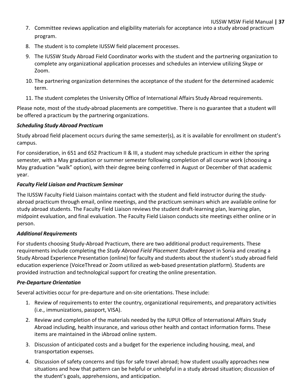- 7. Committee reviews application and eligibility materials for acceptance into a study abroad practicum program.
- 8. The student isto complete IUSSW field placement processes.
- 9. The IUSSW Study Abroad Field Coordinator works with the student and the partnering organization to complete any organizational application processes and schedules an interview utilizing Skype or Zoom.
- 10. The partnering organization determines the acceptance of the student for the determined academic term.
- 11. The student completes the University Office of International Affairs Study Abroad requirements.

Please note, most of the study-abroad placements are competitive. There is no guarantee that a student will be offered a practicum by the partnering organizations.

#### *Scheduling Study Abroad Practicum*

Study abroad field placement occurs during the same semester(s), as it is available for enrollment on student's campus.

For consideration, in 651 and 652 Practicum II & III, a student may schedule practicum in either the spring semester, with a May graduation or summer semester following completion of all course work (choosing a May graduation "walk" option), with their degree being conferred in August or December of that academic year.

#### *Faculty Field Liaison and Practicum Seminar*

The IUSSW Faculty Field Liaison maintains contact with the student and field instructor during the studyabroad practicum through email, online meetings, and the practicum seminars which are available online for study abroad students. The Faculty Field Liaison reviews the student draft-learning plan, learning plan, midpoint evaluation, and final evaluation. The Faculty Field Liaison conducts site meetings either online or in person.

#### *Additional Requirements*

For students choosing Study-Abroad Practicum, there are two additional product requirements. These requirements include completing the *Study Abroad Field Placement Student Report* in Sonia and creating a Study Abroad Experience Presentation (online) for faculty and students about the student's study abroad field education experience (VoiceThread or Zoom utilized as web-based presentation platform). Students are provided instruction and technological support for creating the online presentation.

#### *Pre-Departure Orientation*

Several activities occur for pre-departure and on-site orientations. These include:

- 1. Review of requirements to enter the country, organizational requirements, and preparatory activities (i.e., immunizations, passport, VISA).
- 2. Review and completion of the materials needed by the IUPUI Office of International Affairs Study Abroad including, health insurance, and various other health and contact information forms. These items are maintained in the iAbroad online system.
- 3. Discussion of anticipated costs and a budget for the experience including housing, meal, and transportation expenses.
- 4. Discussion of safety concerns and tips for safe travel abroad; how student usually approaches new situations and how that pattern can be helpful or unhelpful in a study abroad situation; discussion of the student's goals, apprehensions, and anticipation.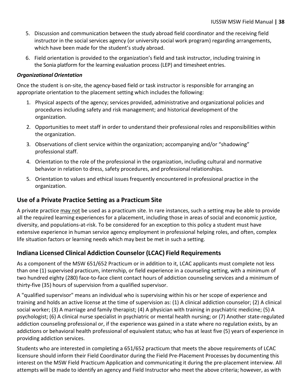- 5. Discussion and communication between the study abroad field coordinator and the receiving field instructor in the social services agency (or university social work program) regarding arrangements, which have been made for the student's study abroad.
- 6. Field orientation is provided to the organization's field and task instructor, including training in the Sonia platform for the learning evaluation process (LEP) and timesheet entries.

#### *Organizational Orientation*

Once the student is on-site, the agency-based field or task instructor is responsible for arranging an appropriate orientation to the placement setting which includes the following:

- 1. Physical aspects of the agency; services provided, administrative and organizational policies and procedures including safety and risk management; and historical development of the organization.
- 2. Opportunities to meet staff in order to understand their professional roles and responsibilities within the organization.
- 3. Observations of client service within the organization; accompanying and/or "shadowing" professional staff.
- 4. Orientation to the role of the professional in the organization, including cultural and normative behavior in relation to dress, safety procedures, and professional relationships.
- 5. Orientation to values and ethical issues frequently encountered in professional practice in the organization.

#### <span id="page-39-0"></span>**Use of a Private Practice Setting as a Practicum Site**

A private practice may not be used as a practicum site. In rare instances, such a setting may be able to provide all the required learning experiences for a placement, including those in areas of social and economic justice, diversity, and populations-at-risk. To be considered for an exception to this policy a student must have extensive experience in human service agency employment in professional helping roles, and often, complex life situation factors or learning needs which may best be met in such a setting.

#### <span id="page-39-1"></span>**Indiana Licensed Clinical Addiction Counselor (LCAC) Field Requirements**

As a component of the MSW 651/652 Practicum or in addition to it, LCAC applicants must complete not less than one (1) supervised practicum, internship, or field experience in a counseling setting, with a minimum of two hundred eighty (280) face-to-face client contact hours of addiction counseling services and a minimum of thirty-five (35) hours of supervision from a qualified supervisor.

A "qualified supervisor" means an individual who is supervising within his or her scope of experience and training and holds an active license at the time of supervision as: (1) A clinical addiction counselor; (2) A clinical social worker; (3) A marriage and family therapist; (4) A physician with training in psychiatric medicine; (5) A psychologist; (6) A clinical nurse specialist in psychiatric or mental health nursing; or (7) Another state-regulated addiction counseling professional or, if the experience was gained in a state where no regulation exists, by an addictions or behavioral health professional of equivalent status; who has at least five (5) years of experience in providing addiction services.

Students who are interested in completing a 651/652 practicum that meets the above requirements of LCAC licensure should inform their Field Coordinator during the Field Pre-Placement Processes by documenting this interest on the MSW Field Practicum Application and communicating it during the pre-placement interview. All attempts will be made to identify an agency and Field Instructor who meet the above criteria; however, as with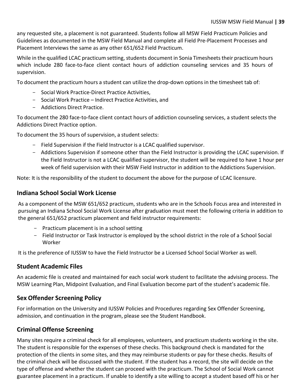any requested site, a placement is not guaranteed. Students follow all MSW Field Practicum Policies and Guidelines as documented in the MSW Field Manual and complete all Field Pre-Placement Processes and Placement Interviews the same as any other 651/652 Field Practicum.

While in the qualified LCAC practicum setting, students document in Sonia Timesheets their practicum hours which include 280 face-to-face client contact hours of addiction counseling services and 35 hours of supervision.

To document the practicum hours a student can utilize the drop-down options in the timesheet tab of:

- Social Work Practice-Direct Practice Activities,
- Social Work Practice Indirect Practice Activities, and
- Addictions Direct Practice.

To document the 280 face-to-face client contact hours of addiction counseling services, a student selects the Addictions Direct Practice option.

To document the 35 hours of supervision, a student selects:

- Field Supervision if the Field Instructor is a LCAC qualified supervisor.
- Addictions Supervision if someone other than the Field Instructor is providing the LCAC supervision. If the Field Instructor is not a LCAC qualified supervisor, the student will be required to have 1 hour per week of field supervision with their MSW Field Instructor in addition to the Addictions Supervision.

Note: It isthe responsibility of the student to document the above for the purpose of LCAC licensure.

#### **Indiana School Social Work License**

As a component of the MSW 651/652 practicum, students who are in the Schools Focus area and interested in pursuing an Indiana School Social Work License after graduation must meet the following criteria in addition to the general 651/652 practicum placement and field instructor requirements:

- Practicum placement is in a school setting
- Field Instructor or Task Instructor is employed by the school district in the role of a School Social Worker

It is the preference of IUSSW to have the Field Instructor be a Licensed School Social Worker as well.

#### <span id="page-40-0"></span>**Student Academic Files**

An academic file is created and maintained for each social work student to facilitate the advising process. The MSW Learning Plan, Midpoint Evaluation, and Final Evaluation become part of the student's academic file.

#### <span id="page-40-1"></span>**Sex Offender Screening Policy**

For information on the University and IUSSW Policies and Procedures regarding Sex Offender Screening, admission, and continuation in the program, please see the Student Handbook.

#### <span id="page-40-2"></span>**Criminal Offense Screening**

Many sites require a criminal check for all employees, volunteers, and practicum students working in the site. The student is responsible for the expenses of these checks. This background check is mandated for the protection of the clients in some sites, and they may reimburse students or pay for these checks. Results of the criminal check will be discussed with the student. If the student has a record, the site will decide on the type of offense and whether the student can proceed with the practicum. The School of Social Work cannot guarantee placement in a practicum. If unable to identify a site willing to accept a student based off his or her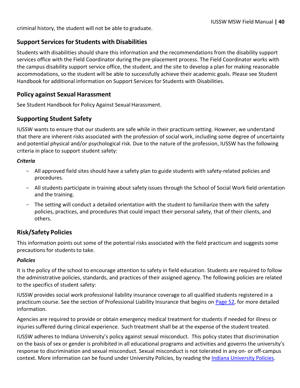criminal history, the student will not be able to graduate.

#### <span id="page-41-0"></span>**Support Services for Students with Disabilities**

Students with disabilities should share this information and the recommendations from the disability support services office with the Field Coordinator during the pre-placement process. The Field Coordinator works with the campus disability support service office, the student, and the site to develop a plan for making reasonable accommodations, so the student will be able to successfully achieve their academic goals. Please see Student Handbook for additional information on Support Services for Students with Disabilities.

#### <span id="page-41-1"></span>**Policy against Sexual Harassment**

See Student Handbook for Policy Against Sexual Harassment.

#### <span id="page-41-2"></span>**Supporting Student Safety**

IUSSW wants to ensure that our students are safe while in their practicum setting. However, we understand that there are inherent risks associated with the profession of social work, including some degree of uncertainty and potential physical and/or psychological risk. Due to the nature of the profession, IUSSW has the following criteria in place to support student safety:

#### *Criteria*

- All approved field sites should have a safety plan to guide students with safety-related policies and procedures.
- All students participate in training about safety issues through the School of Social Work field orientation and the training.
- The setting will conduct a detailed orientation with the student to familiarize them with the safety policies, practices, and procedures that could impact their personal safety, that of their clients, and others.

#### <span id="page-41-3"></span>**Risk/Safety Policies**

This information points out some of the potential risks associated with the field practicum and suggests some precautions for students to take.

#### *Policies*

It is the policy of the school to encourage attention to safety in field education. Students are required to follow the administrative policies, standards, and practices of their assigned agency. The following policies are related to the specifics of student safety:

IUSSW provides social work professional liability insurance coverage to all qualified students registered in a practicum course. See the section of Professional Liability Insurance that begins on Page 52, for more detailed information.

Agencies are required to provide or obtain emergency medical treatment for students if needed for illness or injuriessuffered during clinical experience. Such treatment shall be at the expense of the student treated.

IUSSW adheres to Indiana University's policy against sexual misconduct. This policy states that discrimination on the basis of sex or gender is prohibited in all educational programs and activities and governs the university's response to discrimination and sexual misconduct. Sexual misconduct is not tolerated in any on- or off-campus context. More information can be found under [University](https://policies.iu.edu/) Policies, by reading the Indiana University [Policies.](https://policies.iu.edu/)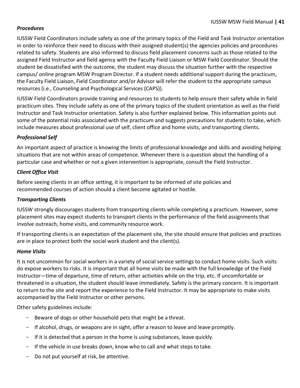#### *Procedures*

IUSSW Field Coordinators include safety as one of the primary topics of the Field and Task Instructor orientation in order to reinforce their need to discuss with their assigned student(s) the agencies policies and procedures related to safety. Students are also informed to discuss field placement concerns such as those related to the assigned Field Instructor and field agency with the Faculty Field Liaison or MSW Field Coordinator. Should the student be dissatisfied with the outcome, the student may discuss the situation further with the respective campus/ online program MSW Program Director. If a student needs additional support during the practicum, the Faculty Field Liaison, Field Coordinator and/or Advisor will refer the student to the appropriate campus resources(i.e., Counseling and Psychological Services (CAPS)).

IUSSW Field Coordinators provide training and resources to students to help ensure their safety while in field practicum sites. They include safety as one of the primary topics of the student orientation as well as the Field Instructor and Task Instructor orientation. Safety is also further explained below. This information points out some of the potential risks associated with the practicum and suggests precautions for students to take, which include measures about professional use of self, client office and home visits, and transporting clients.

#### *Professional Self*

An important aspect of practice is knowing the limits of professional knowledge and skills and avoiding helping situations that are not within areas of competence. Whenever there is a question about the handling of a particular case and whether or not a given intervention is appropriate, consult the Field Instructor.

#### *Client Office Visit*

Before seeing clients in an office setting, it is important to be informed of site policies and recommended courses of action should a client become agitated or hostile.

#### *Transporting Clients*

IUSSW strongly discourages students from transporting clients while completing a practicum. However, some placement sites may expect students to transport clients in the performance of the field assignments that involve outreach, home visits, and community resource work.

If transporting clients is an expectation of the placement site, the site should ensure that policies and practices are in place to protect both the social work student and the client(s).

#### *Home Visits*

It is not uncommon for social workers in a variety of social service settings to conduct home visits. Such visits do expose workers to risks. It is important that all home visits be made with the full knowledge of the Field Instructor—time of departure, time of return, other activities while on the trip, etc. If uncomfortable or threatened in a situation, the student should leave immediately. Safety is the primary concern. It is important to return to the site and report the experience to the Field Instructor. It may be appropriate to make visits accompanied by the Field Instructor or other persons.

Other safety guidelines include:

- Beware of dogs or other household pets that might be a threat.
- If alcohol, drugs, or weapons are in sight, offer a reason to leave and leave promptly.
- If it is detected that a person in the home is using substances, leave quickly.
- If the vehicle in use breaks down, know who to call and what stepsto take.
- Do not put yourself at risk, be attentive.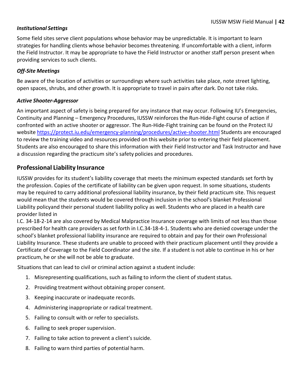#### *Institutional Settings*

Some field sites serve client populations whose behavior may be unpredictable. It is important to learn strategies for handling clients whose behavior becomes threatening. If uncomfortable with a client, inform the Field Instructor. It may be appropriate to have the Field Instructor or another staff person present when providing services to such clients.

#### *Off-Site Meetings*

Be aware of the location of activities or surroundings where such activities take place, note street lighting, open spaces, shrubs, and other growth. It is appropriate to travel in pairs after dark. Do not take risks.

#### *Active Shooter-Aggressor*

An important aspect of safety is being prepared for any instance that may occur. Following IU's Emergencies, Continuity and Planning – Emergency Procedures, IUSSW reinforces the Run-Hide-Fight course of action if confronted with an active shooter or aggressor. The Run-Hide-Fight training can be found on the Protect IU website<https://protect.iu.edu/emergency-planning/procedures/active-shooter.html> Students are encouraged to review the training video and resources provided on this website prior to entering their field placement. Students are also encouraged to share this information with their Field Instructor and Task Instructor and have a discussion regarding the practicum site's safety policies and procedures.

#### <span id="page-43-0"></span>**Professional Liability Insurance**

IUSSW provides for its student's liability coverage that meets the minimum expected standards set forth by the profession. Copies of the certificate of liability can be given upon request. In some situations, students may be required to carry additional professional liability insurance, by their field practicum site. This request would mean that the students would be covered through inclusion in the school's blanket Professional Liability policyand their personal student liability policy as well. Students who are placed in a health care provider listed in

I.C. 34-18-2-14 are also covered by Medical Malpractice Insurance coverage with limits of not less than those prescribed for health care providers as set forth in I.C.34-18-4-1. Students who are denied coverage under the school's blanket professional liability insurance are required to obtain and pay for their own Professional Liability Insurance. These students are unable to proceed with their practicum placement until they provide a Certificate of Coverage to the Field Coordinator and the site. If a student is not able to continue in his or her practicum, he or she will not be able to graduate.

Situationsthat can lead to civil or criminal action against a student include:

- 1. Misrepresenting qualifications, such as failing to inform the client of student status.
- 2. Providing treatment without obtaining proper consent.
- 3. Keeping inaccurate or inadequate records.
- 4. Administering inappropriate or radical treatment.
- 5. Failing to consult with or refer to specialists.
- 6. Failing to seek propersupervision.
- 7. Failing to take action to prevent a client's suicide.
- <span id="page-43-1"></span>8. Failing to warn third parties of potential harm.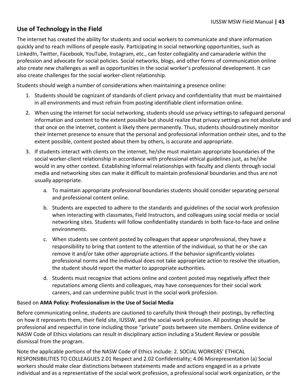#### **Use of Technology in the Field**

The internet has created the ability for students and social workers to communicate and share information quickly and to reach millions of people easily. Participating in social networking opportunities, such as LinkedIn, Twitter, Facebook, YouTube, Instagram, etc., can foster collegiality and camaraderie within the profession and advocate for social policies. Social networks, blogs, and other forms of communication online also create new challenges as well as opportunities in the social worker's professional development. It can also create challenges for the social worker-client relationship.

Students should weigh a number of considerations when maintaining a presence online:

- 1. Students should be cognizant of standards of client privacy and confidentiality that must be maintained in all environments and must refrain from posting identifiable client information online.
- 2. When using the internet for social networking, students should use privacy settings to safeguard personal information and content to the extent possible but should realize that privacy settings are not absolute and that once on the internet, content is likely there permanently. Thus, students shouldroutinely monitor their Internet presence to ensure that the personal and professional information ontheir sites, and to the extent possible, content posted about them by others, is accurate and appropriate.
- 3. If students interact with clients on the internet, he/she must maintain appropriate boundaries of the social worker-client relationship in accordance with professional ethical guidelines just, as he/she would in any other context. Establishing informal relationships with faculty and clients through social media and networking sites can make it difficult to maintain professional boundaries and thus are not usually appropriate.
	- a. To maintain appropriate professional boundaries students should consider separating personal and professional content online.
	- b. Students are expected to adhere to the standards and guidelines of the social work profession when interacting with classmates, Field Instructors, and colleagues using social media or social networking sites. Students will follow confidentiality standards in both face-to-face and online environments.
	- c. When students see content posted by colleagues that appear unprofessional, they have a responsibility to bring that content to the attention of the individual, so that he or she can remove it and/or take other appropriate actions. If the behavior significantly violates professional norms and the individual does not take appropriate action to resolve the situation, the student should report the matter to appropriate authorities.
	- d. Students must recognize that actions online and content posted may negatively affect their reputations among clients and colleagues, may have consequences for their social work careers, and can undermine public trust in the social work profession.

#### Based on **AMA Policy: Professionalism in the Use of Social Media**

Before communicating online, students are cautioned to carefully think through their postings, by reflecting on how it represents them, their field site, IUSSW, and the social work profession. All postings should be professional and respectful in tone including those "private" posts between site members. Online evidence of NASW Code of Ethics violations can result in disciplinary action including a Student Review or possible dismissal from the program.

Note the applicable portions of the NASW Code of Ethics include: 2. SOCIAL WORKERS' ETHICAL RESPONSIBILITIES TO COLLEAGUES 2.01 Respect and 2.02 Confidentiality; 4.06 Misrepresentation (a) Social workers should make clear distinctions between statements made and actions engaged in as a private individual and as a representative of the social work profession, a professional social work organization, or the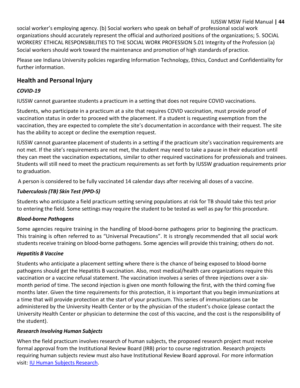#### IUSSW MSW Field Manual **| 44**

social worker's employing agency. (b) Social workers who speak on behalf of professional social work organizations should accurately represent the official and authorized positions of the organizations; 5. SOCIAL WORKERS' ETHICAL RESPONSIBILITIES TO THE SOCIAL WORK PROFESSION 5.01 Integrity of the Profession (a) Social workers should work toward the maintenance and promotion of high standards of practice.

Please see Indiana University policies regarding Information Technology, Ethics, Conduct and Confidentiality for further information.

#### <span id="page-45-0"></span>**Health and Personal Injury**

#### *COVID-19*

IUSSW cannot guarantee students a practicum in a setting that does not require COVID vaccinations.

Students, who participate in a practicum at a site that requires COVID vaccination, must provide proof of vaccination status in order to proceed with the placement. If a student is requesting exemption from the vaccination, they are expected to complete the site's documentation in accordance with their request. The site has the ability to accept or decline the exemption request.

IUSSW cannot guarantee placement of students in a setting if the practicum site's vaccination requirements are not met. If the site's requirements are not met, the student may need to take a pause in their education until they can meet the vaccination expectations, similar to other required vaccinations for professionals and trainees. Students will still need to meet the practicum requirements as set forth by IUSSW graduation requirements prior to graduation.

A person is considered to be fully vaccinated 14 calendar days after receiving all doses of a vaccine.

#### *Tuberculosis(TB) Skin Test (PPD-S)*

Students who anticipate a field practicum setting serving populations at risk for TB should take this test prior to entering the field. Some settings may require the student to be tested as well as pay for this procedure.

#### *Blood-borne Pathogens*

Some agencies require training in the handling of blood-borne pathogens prior to beginning the practicum. This training is often referred to as "Universal Precautions". It is strongly recommended that all social work students receive training on blood-borne pathogens. Some agencies will provide thistraining; others do not.

#### *Hepatitis B Vaccine*

Students who anticipate a placement setting where there is the chance of being exposed to blood-borne pathogens should get the Hepatitis B vaccination. Also, most medical/health care organizations require this vaccination or a vaccine refusal statement. The vaccination involves a series of three injections over a sixmonth period of time. The second injection is given one month following the first, with the third coming five months later. Given the time requirements for this protection, it is important that you begin immunizations at a time that will provide protection at the start of your practicum. This series of immunizations can be administered by the University Health Center or by the physician of the student's choice (please contact the University Health Center or physician to determine the cost of this vaccine, and the cost is the responsibility of the student).

#### *Research Involving Human Subjects*

When the field practicum involves research of human subjects, the proposed research project must receive formal approval from the Institutional Review Board (IRB) prior to course registration. Research projects requiring human subjects review must also have Institutional Review Board approval. For more information visit: [IU Human](https://research.iu.edu/compliance/human-subjects/index.html) Subjects Research.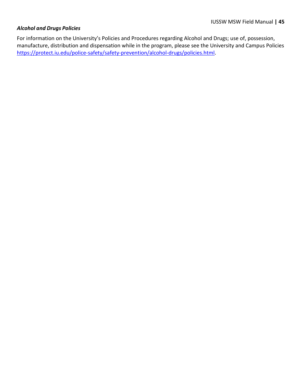#### *Alcohol and Drugs Policies*

For information on the University's Policies and Procedures regarding Alcohol and Drugs; use of, possession, manufacture, distribution and dispensation while in the program, please see the University and Campus Policies [https://protect.iu.edu/police-safety/safety-prevention/alcohol-drugs/policies.html.](https://protect.iu.edu/police-safety/safety-prevention/alcohol-drugs/policies.html)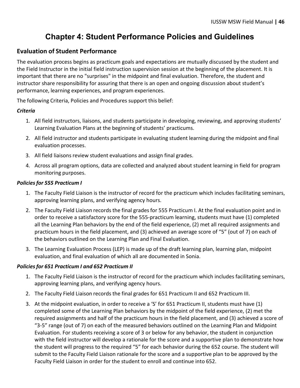## **Chapter 4: Student Performance Policies and Guidelines**

#### <span id="page-47-1"></span><span id="page-47-0"></span>**Evaluation of Student Performance**

The evaluation process begins as practicum goals and expectations are mutually discussed by the student and the Field Instructor in the initial field instruction supervision session at the beginning of the placement. It is important that there are no "surprises" in the midpoint and final evaluation. Therefore, the student and instructor share responsibility for assuring that there is an open and ongoing discussion about student's performance, learning experiences, and program experiences.

The following Criteria, Policies and Procedures support this belief:

#### *Criteria*

- 1. All field instructors, liaisons, and students participate in developing, reviewing, and approving students' Learning Evaluation Plans at the beginning of students' practicums.
- 2. All field instructor and students participate in evaluating student learning during the midpoint and final evaluation processes.
- 3. All field liaisons review student evaluations and assign final grades.
- 4. Across all program options, data are collected and analyzed about student learning in field for program monitoring purposes.

#### *Policiesfor 555 Practicum I*

- 1. The Faculty Field Liaison is the instructor of record for the practicum which includes facilitating seminars, approving learning plans, and verifying agency hours.
- 2. The Faculty Field Liaison records the final grades for 555 Practicum I. At the final evaluation point and in order to receive a satisfactory score for the 555-practicum learning, students must have (1) completed all the Learning Plan behaviors by the end of the field experience, (2) met all required assignments and practicum hours in the field placement, and (3) achieved an average score of "5" (out of 7) on each of the behaviors outlined on the Learning Plan and Final Evaluation.
- 3. The Learning Evaluation Process (LEP) is made up of the draft learning plan, learning plan, midpoint evaluation, and final evaluation of which all are documented in Sonia.

#### *Policiesfor 651 Practicum I and 652 Practicum II*

- 1. The Faculty Field Liaison is the instructor of record for the practicum which includes facilitating seminars, approving learning plans, and verifying agency hours.
- 2. The Faculty Field Liaison records the final grades for 651 Practicum II and 652 Practicum III.
- 3. At the midpoint evaluation, in order to receive a 'S' for 651 Practicum II, students must have (1) completed some of the Learning Plan behaviors by the midpoint of the field experience, (2) met the required assignments and half of the practicum hours in the field placement, and (3) achieved a score of "3-5" range (out of 7) on each of the measured behaviors outlined on the Learning Plan and Midpoint Evaluation. For students receiving a score of 3 or below for any behavior, the student in conjunction with the field instructor will develop a rationale for the score and a supportive plan to demonstrate how the student will progress to the required "5" for each behavior during the 652 course. The student will submit to the Faculty Field Liaison rationale for the score and a supportive plan to be approved by the Faculty Field Liaison in order for the student to enroll and continue into 652.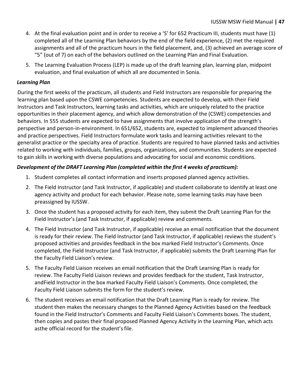- 4. At the final evaluation point and in order to receive a 'S' for 652 Practicum III, students must have (1) completed all of the Learning Plan behaviors by the end of the field experience, (2) met the required assignments and all of the practicum hours in the field placement, and, (3) achieved an average score of "5" (out of 7) on each of the behaviors outlined on the Learning Plan and Final Evaluation.
- 5. The Learning Evaluation Process (LEP) is made up of the draft learning plan, learning plan, midpoint evaluation, and final evaluation of which all are documented in Sonia.

#### *Learning Plan*

During the first weeks of the practicum, all students and Field Instructors are responsible for preparing the learning plan based upon the CSWE competencies. Students are expected to develop, with their Field Instructors and Task Instructors, learning tasks and activities, which are uniquely related to the practice opportunities in their placement agency, and which allow demonstration of the (CSWE) competencies and behaviors. In 555 students are expected to have assignments that involve application of the strength's perspective and person-in-environment. In 651/652, students are, expected to implement advanced theories and practice perspectives. Field Instructors formulate work tasks and learning activities relevant to the generalist practice or the specialty area of practice. Students are required to have planned tasks and activities related to working with individuals, families, groups, organizations, and communities. Students are expected to gain skills in working with diverse populations and advocating for social and economic conditions.

#### *Development of the DRAFT Learning Plan (completed within the first 4 weeks of practicum):*

- 1. Student completes all contact information and inserts proposed planned agency activities.
- 2. The Field Instructor (and Task Instructor, if applicable) and student collaborate to identify at least one agency activity and product for each behavior. Please note, some learning tasks may have been preassigned by IUSSW.
- 3. Once the student has a proposed activity for each item, they submit the Draft Learning Plan for the Field Instructor's (and Task Instructor, if applicable) review and comments.
- 4. The Field Instructor (and Task Instructor, if applicable) receive an email notification that the document is ready for their review. The Field Instructor (and Task Instructor, if applicable) reviews the student's proposed activities and provides feedback in the box marked Field Instructor's Comments. Once completed, the Field Instructor (and Task Instructor, if applicable) submits the Draft Learning Plan for the Faculty Field Liaison's review.
- 5. The Faculty Field Liaison receives an email notification that the Draft Learning Plan is ready for review. The Faculty Field Liaison reviews and provides feedback for the student, Task Instructor, andField Instructor in the box marked Faculty Field Liaison's Comments. Once completed, the Faculty Field Liaison submits the form for the student's review.
- 6. The student receives an email notification that the Draft Learning Plan is ready for review. The student then makes the necessary changes to the Planned Agency Activities based on the feedback found in the Field Instructor's Comments and Faculty Field Liaison's Comments boxes. The student, then copies and pastes their final proposed Planned Agency Activity in the Learning Plan, which acts asthe official record for the student's file.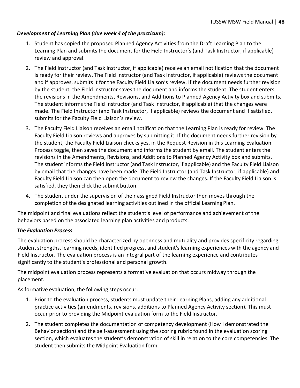#### *Development of Learning Plan (due week 4 of the practicum):*

- 1. Student has copied the proposed Planned Agency Activities from the Draft Learning Plan to the Learning Plan and submits the document for the Field Instructor's (and Task Instructor, if applicable) review and approval.
- 2. The Field Instructor (and Task Instructor, if applicable) receive an email notification that the document is ready for their review. The Field Instructor (and Task Instructor, if applicable) reviews the document and if approves, submits it for the Faculty Field Liaison's review. If the document needs further revision by the student, the Field Instructor saves the document and informs the student. The student enters the revisions in the Amendments, Revisions, and Additions to Planned Agency Activity box and submits. The student informs the Field Instructor (and Task Instructor, if applicable) that the changes were made. The Field Instructor (and Task Instructor, if applicable) reviews the document and if satisfied, submits for the Faculty Field Liaison's review.
- 3. The Faculty Field Liaison receives an email notification that the Learning Plan is ready for review. The Faculty Field Liaison reviews and approves by submitting it. If the document needs further revision by the student, the Faculty Field Liaison checks yes, in the Request Revision in this Learning Evaluation Process toggle, then saves the document and informs the student by email. The student enters the revisions in the Amendments, Revisions, and Additions to Planned Agency Activity box and submits. The student informs the Field Instructor (and Task Instructor, if applicable) and the Faculty Field Liaison by email that the changes have been made. The Field Instructor (and Task Instructor, if applicable) and Faculty Field Liaison can then open the document to review the changes. If the Faculty Field Liaison is satisfied, they then click the submit button.
- 4. The student under the supervision of their assigned Field Instructor then moves through the completion of the designated learning activities outlined in the official Learning Plan.

The midpoint and final evaluations reflect the student's level of performance and achievement of the behaviors based on the associated learning plan activities and products.

#### *The Evaluation Process*

The evaluation process should be characterized by openness and mutuality and provides specificity regarding student strengths, learning needs, identified progress, and student's learning experiences with the agency and Field Instructor. The evaluation process is an integral part of the learning experience and contributes significantly to the student's professional and personal growth.

The midpoint evaluation process represents a formative evaluation that occurs midway through the placement.

As formative evaluation, the following steps occur:

- 1. Prior to the evaluation process, students must update their Learning Plans, adding any additional practice activities (amendments, revisions, additions to Planned Agency Activity section). This must occur prior to providing the Midpoint evaluation form to the Field Instructor.
- 2. The student completes the documentation of competency development (How I demonstrated the Behavior section) and the self-assessment using the scoring rubric found in the evaluation scoring section, which evaluates the student's demonstration of skill in relation to the core competencies. The student then submits the Midpoint Evaluation form.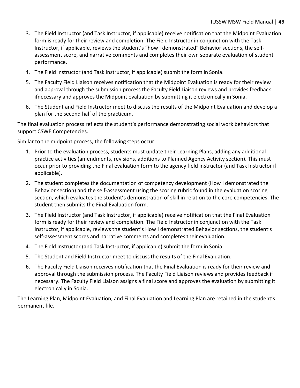- 3. The Field Instructor (and Task Instructor, if applicable) receive notification that the Midpoint Evaluation form is ready for their review and completion. The Field Instructor in conjunction with the Task Instructor, if applicable, reviews the student's "how I demonstrated" Behavior sections, the selfassessment score, and narrative comments and completes their own separate evaluation of student performance.
- 4. The Field Instructor (and Task Instructor, if applicable) submit the form in Sonia.
- 5. The Faculty Field Liaison receives notification that the Midpoint Evaluation is ready for their review and approval through the submission process the Faculty Field Liaison reviews and provides feedback ifnecessary and approves the Midpoint evaluation by submitting it electronically in Sonia.
- 6. The Student and Field Instructor meet to discuss the results of the Midpoint Evaluation and develop a plan for the second half of the practicum.

The final evaluation process reflects the student's performance demonstrating social work behaviors that support CSWE Competencies.

Similar to the midpoint process, the following steps occur:

- 1. Prior to the evaluation process, students must update their Learning Plans, adding any additional practice activities (amendments, revisions, additions to Planned Agency Activity section). This must occur prior to providing the Final evaluation form to the agency field instructor (and Task Instructor if applicable).
- 2. The student completes the documentation of competency development (How I demonstrated the Behavior section) and the self-assessment using the scoring rubric found in the evaluation scoring section, which evaluates the student's demonstration of skill in relation to the core competencies. The student then submits the Final Evaluation form.
- 3. The Field Instructor (and Task Instructor, if applicable) receive notification that the Final Evaluation form is ready for their review and completion. The Field Instructor in conjunction with the Task Instructor, if applicable, reviews the student's How I demonstrated Behavior sections, the student's self-assessment scores and narrative comments and completes their evaluation.
- 4. The Field Instructor (and Task Instructor, if applicable) submit the form in Sonia.
- 5. The Student and Field Instructor meet to discussthe results of the Final Evaluation.
- 6. The Faculty Field Liaison receives notification that the Final Evaluation is ready for their review and approval through the submission process. The Faculty Field Liaison reviews and provides feedback if necessary. The Faculty Field Liaison assigns a final score and approves the evaluation by submitting it electronically in Sonia.

The Learning Plan, Midpoint Evaluation, and Final Evaluation and Learning Plan are retained in the student's permanent file.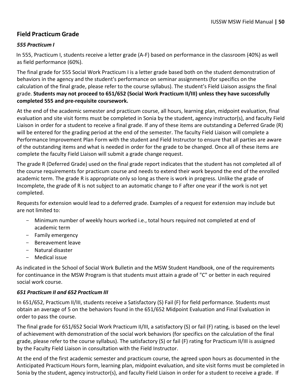#### <span id="page-51-0"></span>**Field Practicum Grade**

#### *555 Practicum I*

In 555, Practicum I, students receive a letter grade (A-F) based on performance in the classroom (40%) as well as field performance (60%).

The final grade for 555 Social Work Practicum I is a letter grade based both on the student demonstration of behaviors in the agency and the student's performance on seminar assignments (for specifics on the calculation of the final grade, please refer to the course syllabus). The student's Field Liaison assigns the final grade. **Students may not proceed to 651/652 (Social Work Practicum II/III) unless they have successfully completed 555 and pre-requisite coursework.**

At the end of the academic semester and practicum course, all hours, learning plan, midpoint evaluation, final evaluation and site visit forms must be completed in Sonia by the student, agency instructor(s), and faculty Field Liaison in order for a student to receive a final grade. If any of these items are outstanding a Deferred Grade (R) will be entered for the grading period at the end of the semester. The faculty Field Liaison will complete a Performance Improvement Plan Form with the student and Field Instructor to ensure that all parties are aware of the outstanding items and what is needed in order for the grade to be changed. Once all of these items are complete the faculty Field Liaison will submit a grade change request.

The grade R (Deferred Grade) used on the final grade report indicates that the student has not completed all of the course requirements for practicum course and needs to extend their work beyond the end of the enrolled academic term. The grade R is appropriate only so long as there is work in progress. Unlike the grade of Incomplete, the grade of R is not subject to an automatic change to F after one year if the work is not yet completed.

Requests for extension would lead to a deferred grade. Examples of a request for extension may include but are not limited to:

- Minimum number of weekly hours worked i.e., total hours required not completed at end of academic term
- Family emergency
- Bereavement leave
- Natural disaster
- Medical issue

As indicated in the School of Social Work Bulletin and the MSW Student Handbook, one of the requirements for continuance in the MSW Program is that students must attain a grade of "C" or better in each required social work course.

#### *651 Practicum II and 652 Practicum III*

In 651/652, Practicum II/III, students receive a Satisfactory (S) Fail (F) for field performance. Students must obtain an average of 5 on the behaviors found in the 651/652 Midpoint Evaluation and Final Evaluation in order to pass the course.

The final grade for 651/652 Social Work Practicum II/III, a satisfactory (S) or fail (F) rating, is based on the level of achievement with demonstration of the social work behaviors (for specifics on the calculation of the final grade, please refer to the course syllabus). The satisfactory (S) or fail (F) rating for Practicum II/III is assigned by the Faculty Field Liaison in consultation with the Field Instructor.

At the end of the first academic semester and practicum course, the agreed upon hours as documented in the Anticipated Practicum Hours form, learning plan, midpoint evaluation, and site visit forms must be completed in Sonia by the student, agency instructor(s), and faculty Field Liaison in order for a student to receive a grade. If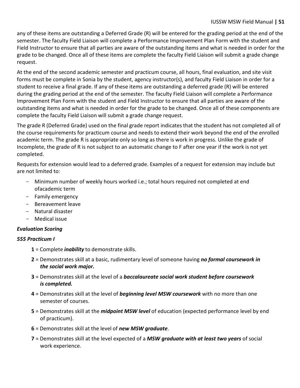any of these items are outstanding a Deferred Grade (R) will be entered for the grading period at the end of the semester. The faculty Field Liaison will complete a Performance Improvement Plan Form with the student and Field Instructor to ensure that all parties are aware of the outstanding items and what is needed in order for the grade to be changed. Once all of these items are complete the faculty Field Liaison will submit a grade change request.

At the end of the second academic semester and practicum course, all hours, final evaluation, and site visit forms must be complete in Sonia by the student, agency instructor(s), and faculty Field Liaison in order for a student to receive a final grade. If any of these items are outstanding a deferred grade (R) will be entered during the grading period at the end of the semester. The faculty Field Liaison will complete a Performance Improvement Plan Form with the student and Field Instructor to ensure that all parties are aware of the outstanding items and what is needed in order for the grade to be changed. Once all of these components are complete the faculty Field Liaison will submit a grade change request.

The grade R (Deferred Grade) used on the final grade report indicatesthat the student has not completed all of the course requirements for practicum course and needs to extend their work beyond the end of the enrolled academic term. The grade R is appropriate only so long as there is work in progress. Unlike the grade of Incomplete, the grade of R is not subject to an automatic change to F after one year if the work is not yet completed.

Requests for extension would lead to a deferred grade. Examples of a request for extension may include but are not limited to:

- Minimum number of weekly hours worked i.e.; total hours required not completed at end ofacademic term
- Family emergency
- Bereavement leave
- Natural disaster
- Medical issue

#### *Evaluation Scoring*

#### *555 Practicum I*

- **1** = Complete *inability* to demonstrate skills.
- **2** = Demonstrates skill at a basic, rudimentary level of someone having *no formal coursework in the social work major.*
- **3** = Demonstrates skill at the level of a *baccalaureate social work student before coursework is completed.*
- **4** = Demonstrates skill at the level of *beginning level MSW coursework* with no more than one semester of courses.
- **5** = Demonstrates skill at the *midpoint MSW level* of education (expected performance level by end of practicum).
- **6** = Demonstrates skill at the level of *new MSW graduate*.
- **7** = Demonstrates skill at the level expected of a *MSW graduate with at least two years* of social work experience.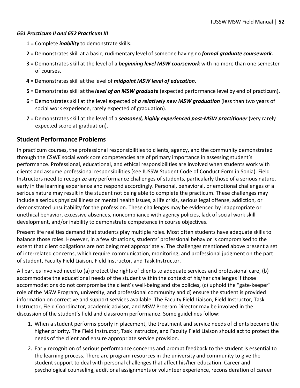#### *651 Practicum II and 652 Practicum III*

- **1** = Complete *inability* to demonstrate skills.
- **2** = Demonstrates skill at a basic, rudimentary level of someone having no *formal graduate coursework.*
- **3** = Demonstrates skill at the level of a *beginning level MSW coursework* with no more than one semester of courses.
- **4** = Demonstrates skill at the level of *midpoint MSW level of education*.
- **5** = Demonstrates skill at the *level of an MSW graduate* (expected performance level by end of practicum).
- **6** = Demonstrates skill at the level expected of *a relatively new MSW graduation* (less than two years of social work experience, rarely expected of graduation).
- **7** = Demonstrates skill at the level of a *seasoned, highly experienced post-MSW practitioner* (very rarely expected score at graduation).

#### <span id="page-53-0"></span>**Student Performance Problems**

In practicum courses, the professional responsibilities to clients, agency, and the community demonstrated through the CSWE social work core competencies are of primary importance in assessing student's performance. Professional, educational, and ethical responsibilities are involved when students work with clients and assume professional responsibilities (see IUSSW Student Code of Conduct Form in Sonia). Field Instructors need to recognize any performance challenges of students, particularly those of a serious nature, early in the learning experience and respond accordingly. Personal, behavioral, or emotional challenges of a serious nature may result in the student not being able to complete the practicum. These challenges may include a serious physical illness or mental health issues, a life crisis, serious legal offense, addiction, or demonstrated unsuitability for the profession. These challenges may be evidenced by inappropriate or unethical behavior, excessive absences, noncompliance with agency policies, lack of social work skill development, and/or inability to demonstrate competence in course objectives.

Present life realities demand that students play multiple roles. Most often students have adequate skills to balance those roles. However, in a few situations, students' professional behavior is compromised to the extent that client obligations are not being met appropriately. The challenges mentioned above present a set of interrelated concerns, which require communication, monitoring, and professional judgment on the part of student, Faculty Field Liaison, Field Instructor, and Task Instructor.

All parties involved need to (a) protect the rights of clients to adequate services and professional care, (b) accommodate the educational needs of the student within the context of his/her challenges if those accommodations do not compromise the client's well-being and site policies, (c) uphold the "gate-keeper" role of the MSW Program, university, and professional community and d) ensure the student is provided information on corrective and support services available. The Faculty Field Liaison, Field Instructor, Task Instructor, Field Coordinator, academic advisor, and MSW Program Director may be involved in the discussion of the student's field and classroom performance. Some guidelines follow:

- 1. When a student performs poorly in placement, the treatment and service needs of clients become the higher priority. The Field Instructor, Task Instructor, and Faculty Field Liaison should act to protect the needs of the client and ensure appropriate service provision.
- 2. Early recognition of serious performance concerns and prompt feedback to the student is essential to the learning process. There are program resources in the university and community to give the student support to deal with personal challenges that affect his/her education. Career and psychological counseling, additional assignments or volunteer experience, reconsideration of career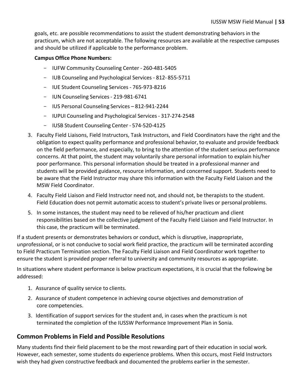goals, etc. are possible recommendations to assist the student demonstrating behaviors in the practicum, which are not acceptable. The following resources are available at the respective campuses and should be utilized if applicable to the performance problem.

#### **Campus Office Phone Numbers:**

- IUFW Community Counseling Center 260-481-5405
- IUB Counseling and Psychological Services 812- 855-5711
- IUE Student Counseling Services 765-973-8216
- IUN Counseling Services- 219-981-6741
- IUS Personal Counseling Services 812-941-2244
- IUPUI Counseling and Psychological Services- 317-274-2548
- IUSB Student Counseling Center 574-520-4125
- 3. Faculty Field Liaisons, Field Instructors, Task Instructors, and Field Coordinators have the right and the obligation to expect quality performance and professional behavior, to evaluate and provide feedback on the field performance, and especially, to bring to the attention of the student serious performance concerns. At that point, the student may voluntarily share personal information to explain his/her poor performance. This personal information should be treated in a professional manner and students will be provided guidance, resource information, and concerned support. Students need to be aware that the Field Instructor may share this information with the Faculty Field Liaison and the MSW Field Coordinator.
- 4. Faculty Field Liaison and Field Instructor need not, and should not, be therapists to the student. Field Education does not permit automatic access to student's private lives or personal problems.
- 5. In some instances, the student may need to be relieved of his/her practicum and client responsibilities based on the collective judgment of the Faculty Field Liaison and Field Instructor. In this case, the practicum will be terminated.

If a student presents or demonstrates behaviors or conduct, which is disruptive, inappropriate, unprofessional, or is not conducive to social work field practice, the practicum will be terminated according to Field Practicum Termination section. The Faculty Field Liaison and Field Coordinator work together to ensure the student is provided proper referral to university and community resources as appropriate.

In situations where student performance is below practicum expectations, it is crucial that the following be addressed:

- 1. Assurance of quality service to clients.
- 2. Assurance of student competence in achieving course objectives and demonstration of core competencies.
- 3. Identification of support services for the student and, in cases when the practicum is not terminated the completion of the IUSSW Performance Improvement Plan in Sonia.

#### <span id="page-54-0"></span>**Common Problems in Field and Possible Resolutions**

Many students find their field placement to be the most rewarding part of their education in social work. However, each semester, some students do experience problems. When this occurs, most Field Instructors wish they had given constructive feedback and documented the problems earlier in the semester.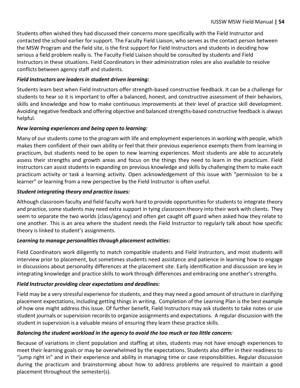Students often wished they had discussed their concerns more specifically with the Field Instructor and contacted the school earlier for support. The Faculty Field Liaison, who serves as the contact person between the MSW Program and the field site, is the first support for Field Instructors and students in deciding how serious a field problem really is. The Faculty Field Liaison should be consulted by students and Field Instructors in these situations. Field Coordinators in their administration roles are also available to resolve conflicts between agency staff and students.

#### *Field Instructors are leadersin student driven learning:*

Students learn best when Field Instructors offer strength-based constructive feedback. It can be a challenge for students to hear so it is important to offer a balanced, honest, and constructive assessment of their behaviors, skills and knowledge and how to make continuous improvements at their level of practice skill development. Avoiding negative feedback and offering objective and balanced strengths-based constructive feedback is always helpful.

#### *New learning experiences and being open to learning:*

Many of our students come to the program with life and employment experiences in working with people, which makes them confident of their own ability or feel that their previous experience exempts them from learning in practicum, but students need to be open to new learning experiences. Most students are able to accurately assess their strengths and growth areas and focus on the things they need to learn in the practicum. Field Instructors can assist students in expanding on previous knowledge and skills by challenging them to make each practicum activity or task a learning activity. Open acknowledgement of this issue with "permission to be a learner" or learning from a new perspective by the Field Instructor is often useful.

#### *Student integrating theory and practice issues:*

Although classroom faculty and field faculty work hard to provide opportunities for students to integrate theory and practice, some students may need extra support in tying classroom theory into their work with clients. They seem to separate the two worlds (class/agency) and often get caught off guard when asked how they relate to one another. This is an area where the student needs the Field Instructor to regularly talk about how specific theory is linked to student's assignments.

#### *Learning to manage personalitiesthrough placement activities:*

Field Coordinators work diligently to match compatible students and Field Instructors, and most students will interview prior to placement, but sometimes students need assistance and patience in learning how to engage in discussions about personality differences at the placement site. Early identification and discussion are key in integrating knowledge and practice skills to work through differences and embracing one another's strengths.

#### *Field Instructor providing clear expectations and deadlines:*

Field may be a very stressful experience for students, and they may need a good amount of structure in clarifying placement expectations, including getting things in writing. Completion of the Learning Plan is the best example of how one might address this issue. Of further benefit, Field Instructors may ask students to take notes or use student journals or supervision records to organize assignments and expectations. A regular discussion with the student in supervision is a valuable means of ensuring they learn these practice skills.

#### *Balancing the student workload in the agency to avoid the too much or too little concern:*

Because of variations in client population and staffing at sites, students may not have enough experiences to meet their learning goals or may be overwhelmed by the expectations. Students also differ in their readiness to "jump right in" and in their experience and ability in managing time or case responsibilities. Regular discussion during the practicum and brainstorming about how to address problems are required to maintain a good placement throughout the semester(s).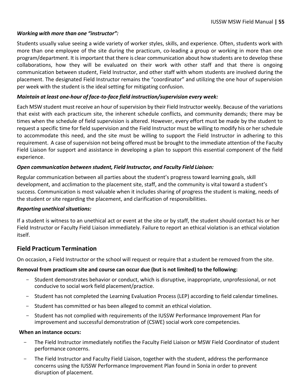#### *Working with more than one "instructor":*

Students usually value seeing a wide variety of worker styles, skills, and experience. Often, students work with more than one employee of the site during the practicum, co-leading a group or working in more than one program/department. It is important that there is clear communication about how students are to develop these collaborations, how they will be evaluated on their work with other staff and that there is ongoing communication between student, Field Instructor, and other staff with whom students are involved during the placement. The designated Field Instructor remains the "coordinator" and utilizing the one hour of supervision per week with the student is the ideal setting for mitigating confusion.

#### *Maintain at least one-hour of face-to-face field instruction/supervision every week:*

Each MSW student must receive an hour of supervision by their Field Instructor weekly. Because of the variations that exist with each practicum site, the inherent schedule conflicts, and community demands; there may be times when the schedule of field supervision is altered. However, every effort must be made by the student to request a specific time for field supervision and the Field Instructor must be willing to modify his or her schedule to accommodate this need, and the site must be willing to support the Field Instructor in adhering to this requirement. A case of supervision not being offered must be brought to the immediate attention of the Faculty Field Liaison for support and assistance in developing a plan to support this essential component of the field experience.

#### *Open communication between student, Field Instructor, and Faculty Field Liaison:*

Regular communication between all parties about the student's progress toward learning goals, skill development, and acclimation to the placement site, staff, and the community is vital toward a student's success. Communication is most valuable when it includes sharing of progress the student is making, needs of the student or site regarding the placement, and clarification of responsibilities.

#### *Reporting unethical situations:*

If a student is witness to an unethical act or event at the site or by staff, the student should contact his or her Field Instructor or Faculty Field Liaison immediately. Failure to report an ethical violation is an ethical violation itself.

#### <span id="page-56-0"></span>**Field Practicum Termination**

On occasion, a Field Instructor or the school will request or require that a student be removed from the site.

#### **Removal from practicum site and course can occur due (but is not limited) to the following:**

- Student demonstrates behavior or conduct, which is disruptive, inappropriate, unprofessional, or not conducive to social work field placement/practice.
- Student has not completed the Learning Evaluation Process (LEP) according to field calendar timelines.
- Student has committed or has been alleged to commit an ethical violation.
- Student has not complied with requirements of the IUSSW Performance Improvement Plan for improvement and successful demonstration of (CSWE) social work core competencies.

#### **When an instance occurs:**

- The Field Instructor immediately notifies the Faculty Field Liaison or MSW Field Coordinator of student performance concerns.
- The Field Instructor and Faculty Field Liaison, together with the student, address the performance concerns using the IUSSW Performance Improvement Plan found in Sonia in order to prevent disruption of placement.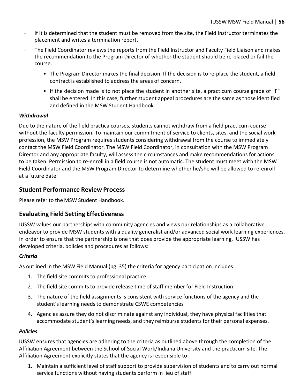- If it is determined that the student must be removed from the site, the Field Instructor terminates the placement and writes a termination report.
- The Field Coordinator reviews the reports from the Field Instructor and Faculty Field Liaison and makes the recommendation to the Program Director of whether the student should be re-placed or fail the course.
	- The Program Director makes the final decision. If the decision is to re-place the student, a field contract is established to address the areas of concern.
	- If the decision made is to not place the student in another site, a practicum course grade of "F" shall be entered. In this case, further student appeal procedures are the same as those identified and defined in the MSW Student Handbook.

#### *Withdrawal*

Due to the nature of the field practica courses, students cannot withdraw from a field practicum course without the faculty permission. To maintain our commitment of service to clients, sites, and the social work profession, the MSW Program requires students considering withdrawal from the course to immediately contact the MSW Field Coordinator. The MSW Field Coordinator, in consultation with the MSW Program Director and any appropriate faculty, will assess the circumstances and make recommendations for actions to be taken. Permission to re-enroll in a field course is not automatic. The student must meet with the MSW Field Coordinator and the MSW Program Director to determine whether he/she will be allowed to re-enroll at a future date.

#### <span id="page-57-0"></span>**Student Performance Review Process**

Please refer to the MSW Student Handbook.

#### <span id="page-57-1"></span>**Evaluating Field Setting Effectiveness**

IUSSW values our partnerships with community agencies and views our relationships as a collaborative endeavor to provide MSW students with a quality generalist and/or advanced social work learning experiences. In order to ensure that the partnership is one that does provide the appropriate learning, IUSSW has developed criteria, policies and procedures as follows:

#### *Criteria*

As outlined in the MSW Field Manual (pg. 35) the criteria for agency participation includes:

- 1. The field site commits to professional practice
- 2. The field site commits to provide release time of staff member for Field Instruction
- 3. The nature of the field assignments is consistent with service functions of the agency and the student's learning needs to demonstrate CSWE competencies
- 4. Agencies assure they do not discriminate against any individual, they have physical facilities that accommodate student's learning needs, and they reimburse students for their personal expenses.

#### *Policies*

IUSSW ensures that agencies are adhering to the criteria as outlined above through the completion of the Affiliation Agreement between the School of Social Work/Indiana University and the practicum site. The Affiliation Agreement explicitly states that the agency is responsible to:

1. Maintain a sufficient level of staff support to provide supervision of students and to carry out normal service functions without having students perform in lieu of staff.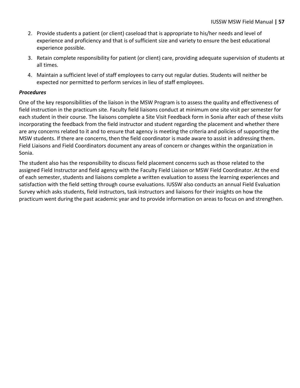- 2. Provide students a patient (or client) caseload that is appropriate to his/her needs and level of experience and proficiency and that is of sufficient size and variety to ensure the best educational experience possible.
- 3. Retain complete responsibility for patient (or client) care, providing adequate supervision of students at all times.
- 4. Maintain a sufficient level of staff employees to carry out regular duties. Students will neither be expected nor permitted to perform services in lieu of staff employees.

#### *Procedures*

One of the key responsibilities of the liaison in the MSW Program is to assess the quality and effectiveness of field instruction in the practicum site. Faculty field liaisons conduct at minimum one site visit per semester for each student in their course. The liaisons complete a Site Visit Feedback form in Sonia after each of these visits incorporating the feedback from the field instructor and student regarding the placement and whether there are any concerns related to it and to ensure that agency is meeting the criteria and policies of supporting the MSW students. If there are concerns, then the field coordinator is made aware to assist in addressing them. Field Liaisons and Field Coordinators document any areas of concern or changes within the organization in Sonia.

The student also has the responsibility to discuss field placement concerns such as those related to the assigned Field Instructor and field agency with the Faculty Field Liaison or MSW Field Coordinator. At the end of each semester, students and liaisons complete a written evaluation to assess the learning experiences and satisfaction with the field setting through course evaluations. IUSSW also conducts an annual Field Evaluation Survey which asks students, field instructors, task instructors and liaisons for their insights on how the practicum went during the past academic year and to provide information on areas to focus on and strengthen.